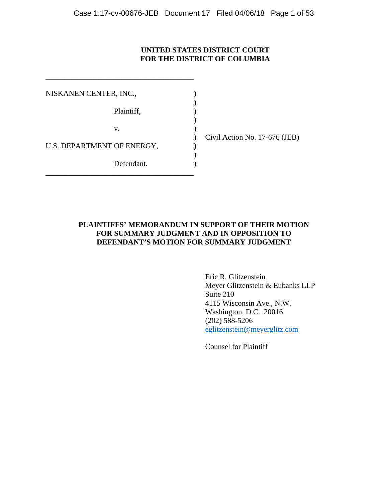# **UNITED STATES DISTRICT COURT FOR THE DISTRICT OF COLUMBIA**

| NISKANEN CENTER, INC.,     |            |  |
|----------------------------|------------|--|
|                            | Plaintiff, |  |
|                            | V.         |  |
| U.S. DEPARTMENT OF ENERGY, |            |  |
|                            | Defendant. |  |

**\_\_\_\_\_\_\_\_\_\_\_\_\_\_\_\_\_\_\_\_\_\_\_\_\_\_\_\_\_\_\_\_\_\_\_\_\_\_\_** 

) Civil Action No. 17-676 (JEB)

# **PLAINTIFFS' MEMORANDUM IN SUPPORT OF THEIR MOTION FOR SUMMARY JUDGMENT AND IN OPPOSITION TO DEFENDANT'S MOTION FOR SUMMARY JUDGMENT**

 Eric R. Glitzenstein Meyer Glitzenstein & Eubanks LLP Suite 210 4115 Wisconsin Ave., N.W. Washington, D.C. 20016 (202) 588-5206 eglitzenstein@meyerglitz.com

Counsel for Plaintiff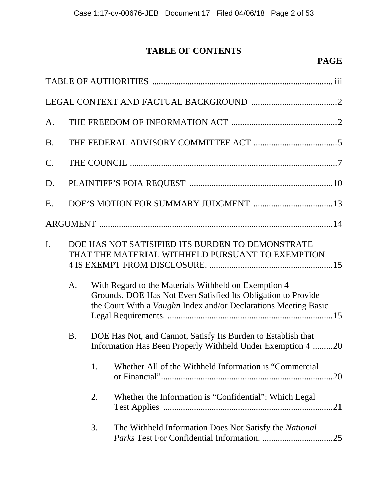# **TABLE OF CONTENTS**

# **PAGE**

| A. |                                                                                                                                                                                |    |                                                                                                                                         |
|----|--------------------------------------------------------------------------------------------------------------------------------------------------------------------------------|----|-----------------------------------------------------------------------------------------------------------------------------------------|
| B. |                                                                                                                                                                                |    |                                                                                                                                         |
| C. |                                                                                                                                                                                |    |                                                                                                                                         |
| D. |                                                                                                                                                                                |    |                                                                                                                                         |
| Е. |                                                                                                                                                                                |    |                                                                                                                                         |
|    |                                                                                                                                                                                |    |                                                                                                                                         |
| I. | DOE HAS NOT SATISIFIED ITS BURDEN TO DEMONSTRATE<br>THAT THE MATERIAL WITHHELD PURSUANT TO EXEMPTION<br>With Regard to the Materials Withheld on Exemption 4<br>A <sub>1</sub> |    |                                                                                                                                         |
|    |                                                                                                                                                                                |    | Grounds, DOE Has Not Even Satisfied Its Obligation to Provide<br>the Court With a <i>Vaughn</i> Index and/or Declarations Meeting Basic |
|    | <b>B.</b>                                                                                                                                                                      |    | DOE Has Not, and Cannot, Satisfy Its Burden to Establish that<br>Information Has Been Properly Withheld Under Exemption 4 20            |
|    |                                                                                                                                                                                | 1. | Whether All of the Withheld Information is "Commercial<br>.20                                                                           |
|    |                                                                                                                                                                                | 2. | Whether the Information is "Confidential": Which Legal                                                                                  |
|    |                                                                                                                                                                                | 3. | The Withheld Information Does Not Satisfy the National                                                                                  |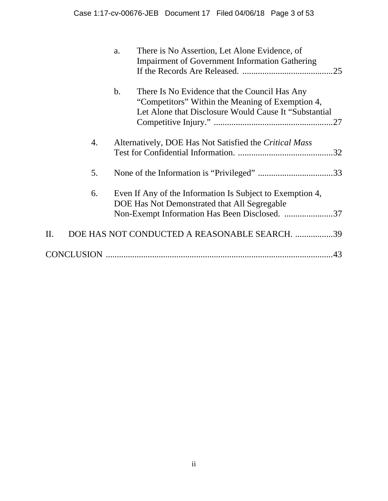|     |    | There is No Assertion, Let Alone Evidence, of<br>a.            |
|-----|----|----------------------------------------------------------------|
|     |    | <b>Impairment of Government Information Gathering</b>          |
|     |    |                                                                |
|     |    | $\mathbf b$ .<br>There Is No Evidence that the Council Has Any |
|     |    | "Competitors" Within the Meaning of Exemption 4,               |
|     |    | Let Alone that Disclosure Would Cause It "Substantial"         |
|     |    |                                                                |
|     | 4. | Alternatively, DOE Has Not Satisfied the Critical Mass         |
|     |    |                                                                |
|     | 5. |                                                                |
|     | 6. | Even If Any of the Information Is Subject to Exemption 4,      |
|     |    | DOE Has Not Demonstrated that All Segregable                   |
|     |    | Non-Exempt Information Has Been Disclosed. 37                  |
| II. |    | DOE HAS NOT CONDUCTED A REASONABLE SEARCH. 39                  |
|     |    |                                                                |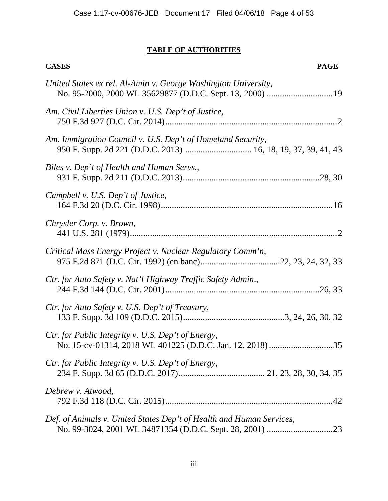# **TABLE OF AUTHORITIES**

| <b>CASES</b><br><b>PAGE</b>                                          |
|----------------------------------------------------------------------|
| United States ex rel. Al-Amin v. George Washington University,       |
| Am. Civil Liberties Union v. U.S. Dep't of Justice,                  |
| Am. Immigration Council v. U.S. Dep't of Homeland Security,          |
| Biles v. Dep't of Health and Human Servs.,                           |
| Campbell v. U.S. Dep't of Justice,                                   |
| Chrysler Corp. v. Brown,                                             |
| Critical Mass Energy Project v. Nuclear Regulatory Comm'n,           |
| Ctr. for Auto Safety v. Nat'l Highway Traffic Safety Admin.,         |
| Ctr. for Auto Safety v. U.S. Dep't of Treasury,                      |
| Ctr. for Public Integrity v. U.S. Dep't of Energy,                   |
| Ctr. for Public Integrity v. U.S. Dep't of Energy,                   |
| Debrew v. Atwood,                                                    |
| Def. of Animals v. United States Dep't of Health and Human Services, |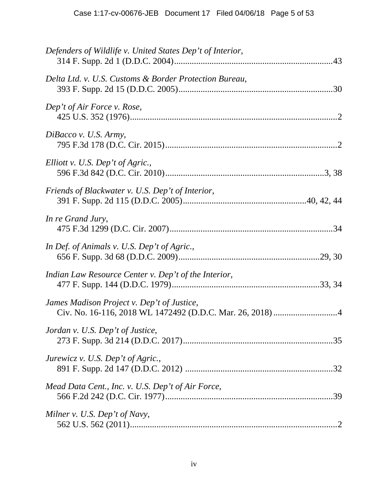| Defenders of Wildlife v. United States Dep't of Interior, |
|-----------------------------------------------------------|
| Delta Ltd. v. U.S. Customs & Border Protection Bureau,    |
| Dep't of Air Force v. Rose,                               |
| DiBacco v. U.S. Army,                                     |
| Elliott v. U.S. Dep't of Agric.,                          |
| Friends of Blackwater v. U.S. Dep't of Interior,          |
| In re Grand Jury,                                         |
| In Def. of Animals v. U.S. Dep't of Agric.,               |
| Indian Law Resource Center v. Dep't of the Interior,      |
| James Madison Project v. Dep't of Justice,                |
| Jordan v. U.S. Dep't of Justice,                          |
| Jurewicz v. U.S. Dep't of Agric.,                         |
| Mead Data Cent., Inc. v. U.S. Dep't of Air Force,         |
| Milner v. U.S. Dep't of Navy,                             |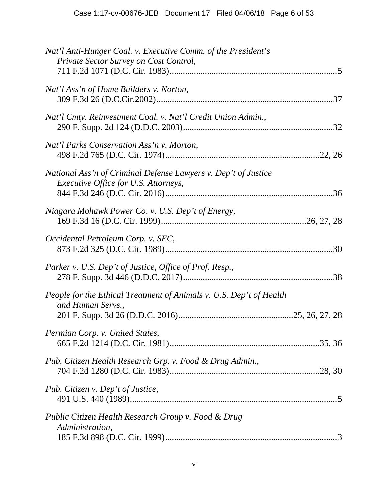| Nat'l Anti-Hunger Coal. v. Executive Comm. of the President's<br>Private Sector Survey on Cost Control,       |
|---------------------------------------------------------------------------------------------------------------|
| Nat'l Ass'n of Home Builders v. Norton,                                                                       |
| Nat'l Cmty. Reinvestment Coal. v. Nat'l Credit Union Admin.,                                                  |
| Nat'l Parks Conservation Ass'n v. Morton,                                                                     |
| National Ass'n of Criminal Defense Lawyers v. Dep't of Justice<br><i>Executive Office for U.S. Attorneys,</i> |
| Niagara Mohawk Power Co. v. U.S. Dep't of Energy,                                                             |
| Occidental Petroleum Corp. v. SEC,                                                                            |
| Parker v. U.S. Dep't of Justice, Office of Prof. Resp.,                                                       |
| People for the Ethical Treatment of Animals v. U.S. Dep't of Health<br>and Human Servs.,                      |
| Permian Corp. v. United States,                                                                               |
| Pub. Citizen Health Research Grp. v. Food & Drug Admin.,                                                      |
| Pub. Citizen v. Dep't of Justice,                                                                             |
| Public Citizen Health Research Group v. Food & Drug<br>Administration,                                        |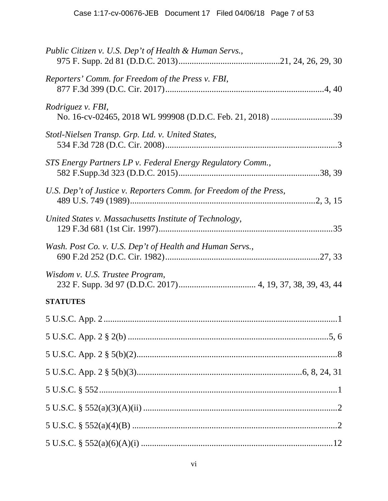| Public Citizen v. U.S. Dep't of Health & Human Servs.,                         |
|--------------------------------------------------------------------------------|
| Reporters' Comm. for Freedom of the Press v. FBI,                              |
| Rodriguez v. FBI,<br>No. 16-cv-02465, 2018 WL 999908 (D.D.C. Feb. 21, 2018) 39 |
| Stotl-Nielsen Transp. Grp. Ltd. v. United States,                              |
| STS Energy Partners LP v. Federal Energy Regulatory Comm.,                     |
| U.S. Dep't of Justice v. Reporters Comm. for Freedom of the Press,             |
| United States v. Massachusetts Institute of Technology,                        |
| Wash. Post Co. v. U.S. Dep't of Health and Human Servs.,                       |
| Wisdom v. U.S. Trustee Program,                                                |
| <b>STATUTES</b>                                                                |
|                                                                                |
|                                                                                |
|                                                                                |
|                                                                                |
|                                                                                |
|                                                                                |
|                                                                                |
|                                                                                |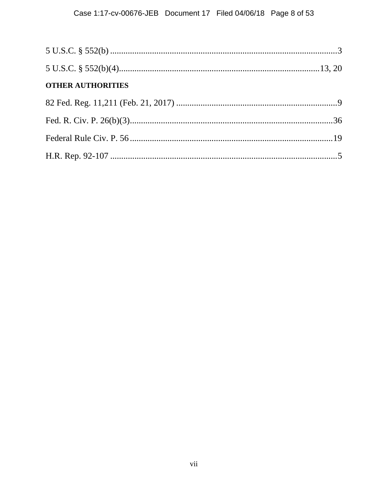| <b>OTHER AUTHORITIES</b> |  |
|--------------------------|--|
|                          |  |
|                          |  |
|                          |  |
|                          |  |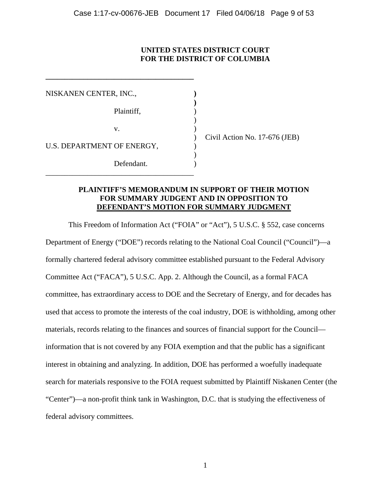# **UNITED STATES DISTRICT COURT FOR THE DISTRICT OF COLUMBIA**

| NISKANEN CENTER, INC.,     |            |  |
|----------------------------|------------|--|
|                            | Plaintiff, |  |
|                            | V.         |  |
| U.S. DEPARTMENT OF ENERGY, |            |  |
|                            | Defendant. |  |

**\_\_\_\_\_\_\_\_\_\_\_\_\_\_\_\_\_\_\_\_\_\_\_\_\_\_\_\_\_\_\_\_\_\_\_\_\_\_\_** 

) Civil Action No. 17-676 (JEB)

# **PLAINTIFF'S MEMORANDUM IN SUPPORT OF THEIR MOTION FOR SUMMARY JUDGENT AND IN OPPOSITION TO DEFENDANT'S MOTION FOR SUMMARY JUDGMENT**

This Freedom of Information Act ("FOIA" or "Act"), 5 U.S.C. § 552, case concerns Department of Energy ("DOE") records relating to the National Coal Council ("Council")—a formally chartered federal advisory committee established pursuant to the Federal Advisory Committee Act ("FACA"), 5 U.S.C. App. 2. Although the Council, as a formal FACA committee, has extraordinary access to DOE and the Secretary of Energy, and for decades has used that access to promote the interests of the coal industry, DOE is withholding, among other materials, records relating to the finances and sources of financial support for the Council information that is not covered by any FOIA exemption and that the public has a significant interest in obtaining and analyzing. In addition, DOE has performed a woefully inadequate search for materials responsive to the FOIA request submitted by Plaintiff Niskanen Center (the "Center")—a non-profit think tank in Washington, D.C. that is studying the effectiveness of federal advisory committees.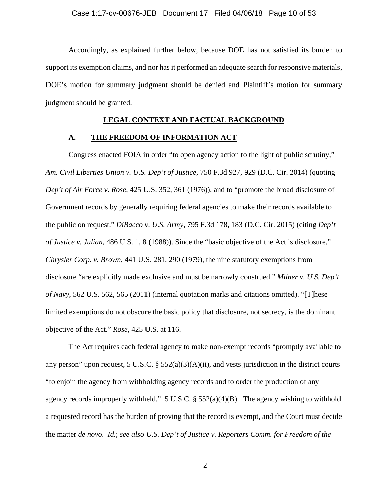Accordingly, as explained further below, because DOE has not satisfied its burden to support its exemption claims, and nor has it performed an adequate search for responsive materials, DOE's motion for summary judgment should be denied and Plaintiff's motion for summary judgment should be granted.

# **LEGAL CONTEXT AND FACTUAL BACKGROUND**

# **A. THE FREEDOM OF INFORMATION ACT**

 Congress enacted FOIA in order "to open agency action to the light of public scrutiny," *Am. Civil Liberties Union v. U.S. Dep't of Justice*, 750 F.3d 927, 929 (D.C. Cir. 2014) (quoting *Dep't of Air Force v. Rose*, 425 U.S. 352, 361 (1976)), and to "promote the broad disclosure of Government records by generally requiring federal agencies to make their records available to the public on request." *DiBacco v. U.S. Army*, 795 F.3d 178, 183 (D.C. Cir. 2015) (citing *Dep't of Justice v. Julian*, 486 U.S. 1, 8 (1988)). Since the "basic objective of the Act is disclosure," *Chrysler Corp. v. Brown*, 441 U.S. 281, 290 (1979), the nine statutory exemptions from disclosure "are explicitly made exclusive and must be narrowly construed." *Milner v. U.S. Dep't of Navy*, 562 U.S. 562, 565 (2011) (internal quotation marks and citations omitted). "[T]hese limited exemptions do not obscure the basic policy that disclosure, not secrecy, is the dominant objective of the Act." *Rose*, 425 U.S. at 116.

 The Act requires each federal agency to make non-exempt records "promptly available to any person" upon request, 5 U.S.C. §  $552(a)(3)(A)(ii)$ , and vests jurisdiction in the district courts "to enjoin the agency from withholding agency records and to order the production of any agency records improperly withheld." 5 U.S.C.  $\S$  552(a)(4)(B). The agency wishing to withhold a requested record has the burden of proving that the record is exempt, and the Court must decide the matter *de novo*. *Id.*; *see also U.S. Dep't of Justice v. Reporters Comm. for Freedom of the*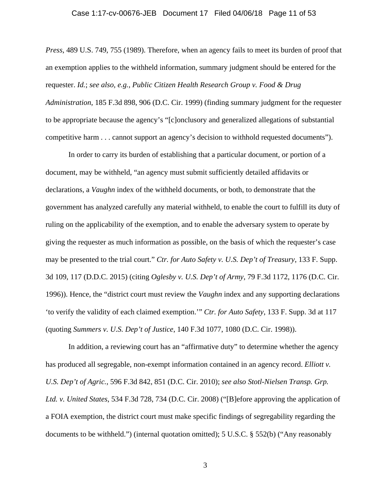# Case 1:17-cv-00676-JEB Document 17 Filed 04/06/18 Page 11 of 53

*Press*, 489 U.S. 749, 755 (1989). Therefore, when an agency fails to meet its burden of proof that an exemption applies to the withheld information, summary judgment should be entered for the requester. *Id.*; *see also, e.g., Public Citizen Health Research Group v. Food & Drug Administration*, 185 F.3d 898, 906 (D.C. Cir. 1999) (finding summary judgment for the requester to be appropriate because the agency's "[c]onclusory and generalized allegations of substantial competitive harm . . . cannot support an agency's decision to withhold requested documents").

 In order to carry its burden of establishing that a particular document, or portion of a document, may be withheld, "an agency must submit sufficiently detailed affidavits or declarations, a *Vaughn* index of the withheld documents, or both, to demonstrate that the government has analyzed carefully any material withheld, to enable the court to fulfill its duty of ruling on the applicability of the exemption, and to enable the adversary system to operate by giving the requester as much information as possible, on the basis of which the requester's case may be presented to the trial court." *Ctr. for Auto Safety v. U.S. Dep't of Treasury*, 133 F. Supp. 3d 109, 117 (D.D.C. 2015) (citing *Oglesby v. U.S. Dep't of Army*, 79 F.3d 1172, 1176 (D.C. Cir. 1996)). Hence, the "district court must review the *Vaughn* index and any supporting declarations 'to verify the validity of each claimed exemption.'" *Ctr. for Auto Safety*, 133 F. Supp. 3d at 117 (quoting *Summers v. U.S. Dep't of Justice*, 140 F.3d 1077, 1080 (D.C. Cir. 1998)).

In addition, a reviewing court has an "affirmative duty" to determine whether the agency has produced all segregable, non-exempt information contained in an agency record. *Elliott v. U.S. Dep't of Agric.*, 596 F.3d 842, 851 (D.C. Cir. 2010); *see also Stotl-Nielsen Transp. Grp. Ltd. v. United States*, 534 F.3d 728, 734 (D.C. Cir. 2008) ("[B]efore approving the application of a FOIA exemption, the district court must make specific findings of segregability regarding the documents to be withheld.") (internal quotation omitted); 5 U.S.C. § 552(b) ("Any reasonably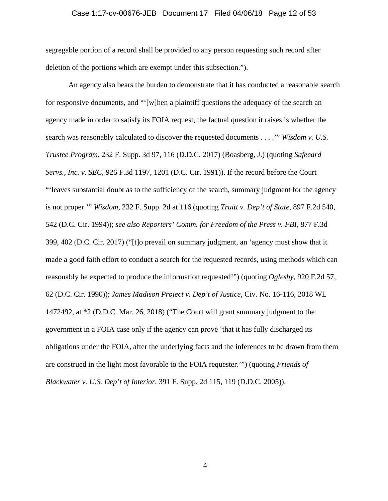### Case 1:17-cv-00676-JEB Document 17 Filed 04/06/18 Page 12 of 53

segregable portion of a record shall be provided to any person requesting such record after deletion of the portions which are exempt under this subsection.").

 An agency also bears the burden to demonstrate that it has conducted a reasonable search for responsive documents, and "'[w]hen a plaintiff questions the adequacy of the search an agency made in order to satisfy its FOIA request, the factual question it raises is whether the search was reasonably calculated to discover the requested documents . . . .'" *Wisdom v. U.S. Trustee Program*, 232 F. Supp. 3d 97, 116 (D.D.C. 2017) (Boasberg, J.) (quoting *Safecard Servs., Inc. v. SEC*, 926 F.3d 1197, 1201 (D.C. Cir. 1991)). If the record before the Court "'leaves substantial doubt as to the sufficiency of the search, summary judgment for the agency is not proper.'" *Wisdom*, 232 F. Supp. 2d at 116 (quoting *Truitt v. Dep't of State*, 897 F.2d 540, 542 (D.C. Cir. 1994)); *see also Reporters' Comm. for Freedom of the Press v. FBI*, 877 F.3d 399, 402 (D.C. Cir. 2017) ("[t]o prevail on summary judgment, an 'agency must show that it made a good faith effort to conduct a search for the requested records, using methods which can reasonably be expected to produce the information requested'") (quoting *Oglesby*, 920 F.2d 57, 62 (D.C. Cir. 1990)); *James Madison Project v. Dep't of Justice*, Civ. No. 16-116, 2018 WL 1472492, at \*2 (D.D.C. Mar. 26, 2018) ("The Court will grant summary judgment to the government in a FOIA case only if the agency can prove 'that it has fully discharged its obligations under the FOIA, after the underlying facts and the inferences to be drawn from them are construed in the light most favorable to the FOIA requester.'") (quoting *Friends of Blackwater v. U.S. Dep't of Interior*, 391 F. Supp. 2d 115, 119 (D.D.C. 2005)).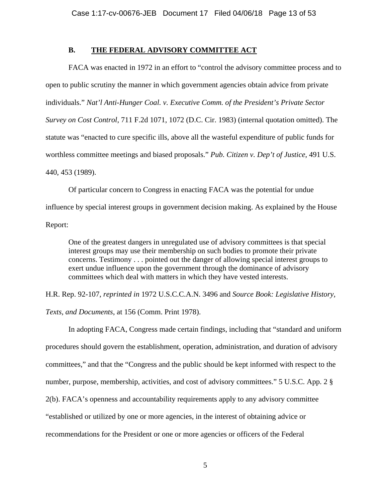# **B. THE FEDERAL ADVISORY COMMITTEE ACT**

 FACA was enacted in 1972 in an effort to "control the advisory committee process and to open to public scrutiny the manner in which government agencies obtain advice from private individuals." *Nat'l Anti-Hunger Coal. v. Executive Comm. of the President's Private Sector Survey on Cost Control*, 711 F.2d 1071, 1072 (D.C. Cir. 1983) (internal quotation omitted). The statute was "enacted to cure specific ills, above all the wasteful expenditure of public funds for worthless committee meetings and biased proposals." *Pub. Citizen v. Dep't of Justice*, 491 U.S. 440, 453 (1989).

 Of particular concern to Congress in enacting FACA was the potential for undue influence by special interest groups in government decision making. As explained by the House Report:

One of the greatest dangers in unregulated use of advisory committees is that special interest groups may use their membership on such bodies to promote their private concerns. Testimony . . . pointed out the danger of allowing special interest groups to exert undue influence upon the government through the dominance of advisory committees which deal with matters in which they have vested interests.

H.R. Rep. 92-107, *reprinted in* 1972 U.S.C.C.A.N. 3496 and *Source Book: Legislative History,* 

*Texts, and Documents*, at 156 (Comm. Print 1978).

 In adopting FACA, Congress made certain findings, including that "standard and uniform procedures should govern the establishment, operation, administration, and duration of advisory committees," and that the "Congress and the public should be kept informed with respect to the number, purpose, membership, activities, and cost of advisory committees." 5 U.S.C. App. 2 § 2(b). FACA's openness and accountability requirements apply to any advisory committee "established or utilized by one or more agencies, in the interest of obtaining advice or recommendations for the President or one or more agencies or officers of the Federal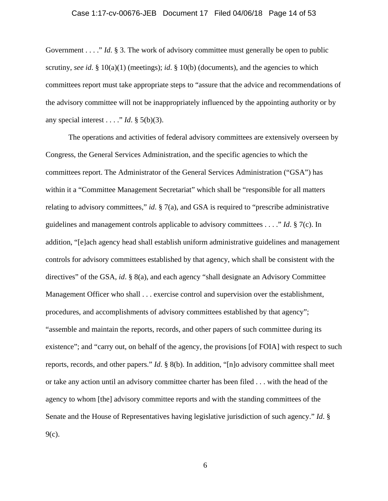# Case 1:17-cv-00676-JEB Document 17 Filed 04/06/18 Page 14 of 53

Government . . . ." *Id*. § 3. The work of advisory committee must generally be open to public scrutiny, *see id*. § 10(a)(1) (meetings); *id*. § 10(b) (documents), and the agencies to which committees report must take appropriate steps to "assure that the advice and recommendations of the advisory committee will not be inappropriately influenced by the appointing authority or by any special interest . . . . " *Id*.  $\S$  5(b)(3).

 The operations and activities of federal advisory committees are extensively overseen by Congress, the General Services Administration, and the specific agencies to which the committees report. The Administrator of the General Services Administration ("GSA") has within it a "Committee Management Secretariat" which shall be "responsible for all matters relating to advisory committees," *id*. § 7(a), and GSA is required to "prescribe administrative guidelines and management controls applicable to advisory committees . . . ." *Id*. § 7(c). In addition, "[e]ach agency head shall establish uniform administrative guidelines and management controls for advisory committees established by that agency, which shall be consistent with the directives" of the GSA, *id*. § 8(a), and each agency "shall designate an Advisory Committee Management Officer who shall . . . exercise control and supervision over the establishment, procedures, and accomplishments of advisory committees established by that agency"; "assemble and maintain the reports, records, and other papers of such committee during its existence"; and "carry out, on behalf of the agency, the provisions [of FOIA] with respect to such reports, records, and other papers." *Id*. § 8(b). In addition, "[n]o advisory committee shall meet or take any action until an advisory committee charter has been filed . . . with the head of the agency to whom [the] advisory committee reports and with the standing committees of the Senate and the House of Representatives having legislative jurisdiction of such agency." *Id*. § 9(c).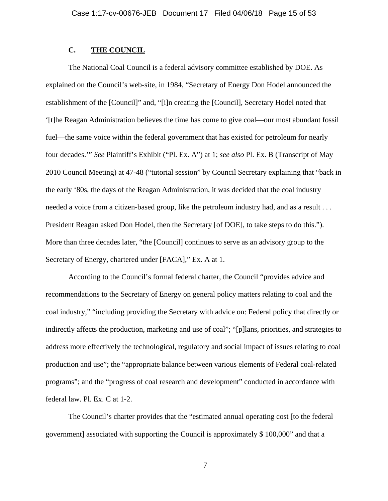# **C. THE COUNCIL**

 The National Coal Council is a federal advisory committee established by DOE. As explained on the Council's web-site, in 1984, "Secretary of Energy Don Hodel announced the establishment of the [Council]" and, "[i]n creating the [Council], Secretary Hodel noted that '[t]he Reagan Administration believes the time has come to give coal—our most abundant fossil fuel—the same voice within the federal government that has existed for petroleum for nearly four decades.'" *See* Plaintiff's Exhibit ("Pl. Ex. A") at 1; *see also* Pl. Ex. B (Transcript of May 2010 Council Meeting) at 47-48 ("tutorial session" by Council Secretary explaining that "back in the early '80s, the days of the Reagan Administration, it was decided that the coal industry needed a voice from a citizen-based group, like the petroleum industry had, and as a result . . . President Reagan asked Don Hodel, then the Secretary [of DOE], to take steps to do this."). More than three decades later, "the [Council] continues to serve as an advisory group to the Secretary of Energy, chartered under [FACA]," Ex. A at 1.

According to the Council's formal federal charter, the Council "provides advice and recommendations to the Secretary of Energy on general policy matters relating to coal and the coal industry," "including providing the Secretary with advice on: Federal policy that directly or indirectly affects the production, marketing and use of coal"; "[p]lans, priorities, and strategies to address more effectively the technological, regulatory and social impact of issues relating to coal production and use"; the "appropriate balance between various elements of Federal coal-related programs"; and the "progress of coal research and development" conducted in accordance with federal law. Pl. Ex. C at 1-2.

 The Council's charter provides that the "estimated annual operating cost [to the federal government] associated with supporting the Council is approximately \$ 100,000" and that a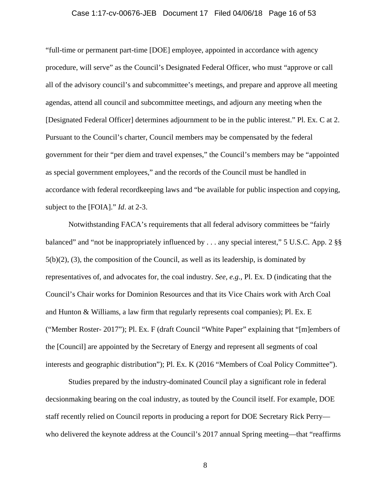# Case 1:17-cv-00676-JEB Document 17 Filed 04/06/18 Page 16 of 53

"full-time or permanent part-time [DOE] employee, appointed in accordance with agency procedure, will serve" as the Council's Designated Federal Officer, who must "approve or call all of the advisory council's and subcommittee's meetings, and prepare and approve all meeting agendas, attend all council and subcommittee meetings, and adjourn any meeting when the [Designated Federal Officer] determines adjournment to be in the public interest." Pl. Ex. C at 2. Pursuant to the Council's charter, Council members may be compensated by the federal government for their "per diem and travel expenses," the Council's members may be "appointed as special government employees," and the records of the Council must be handled in accordance with federal recordkeeping laws and "be available for public inspection and copying, subject to the [FOIA]." *Id*. at 2-3.

 Notwithstanding FACA's requirements that all federal advisory committees be "fairly balanced" and "not be inappropriately influenced by . . . any special interest," 5 U.S.C. App. 2 §§ 5(b)(2), (3), the composition of the Council, as well as its leadership, is dominated by representatives of, and advocates for, the coal industry. *See, e.g.*, Pl. Ex. D (indicating that the Council's Chair works for Dominion Resources and that its Vice Chairs work with Arch Coal and Hunton & Williams, a law firm that regularly represents coal companies); Pl. Ex. E ("Member Roster- 2017"); Pl. Ex. F (draft Council "White Paper" explaining that "[m]embers of the [Council] are appointed by the Secretary of Energy and represent all segments of coal interests and geographic distribution"); Pl. Ex. K (2016 "Members of Coal Policy Committee").

 Studies prepared by the industry-dominated Council play a significant role in federal decsionmaking bearing on the coal industry, as touted by the Council itself. For example, DOE staff recently relied on Council reports in producing a report for DOE Secretary Rick Perry who delivered the keynote address at the Council's 2017 annual Spring meeting—that "reaffirms"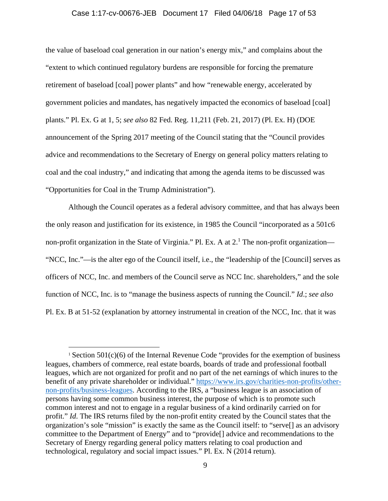# Case 1:17-cv-00676-JEB Document 17 Filed 04/06/18 Page 17 of 53

the value of baseload coal generation in our nation's energy mix," and complains about the "extent to which continued regulatory burdens are responsible for forcing the premature retirement of baseload [coal] power plants" and how "renewable energy, accelerated by government policies and mandates, has negatively impacted the economics of baseload [coal] plants." Pl. Ex. G at 1, 5; *see also* 82 Fed. Reg. 11,211 (Feb. 21, 2017) (Pl. Ex. H) (DOE announcement of the Spring 2017 meeting of the Council stating that the "Council provides advice and recommendations to the Secretary of Energy on general policy matters relating to coal and the coal industry," and indicating that among the agenda items to be discussed was "Opportunities for Coal in the Trump Administration").

 Although the Council operates as a federal advisory committee, and that has always been the only reason and justification for its existence, in 1985 the Council "incorporated as a 501c6 non-profit organization in the State of Virginia." Pl. Ex. A at 2.<sup>1</sup> The non-profit organization— "NCC, Inc."—is the alter ego of the Council itself, i.e., the "leadership of the [Council] serves as officers of NCC, Inc. and members of the Council serve as NCC Inc. shareholders," and the sole function of NCC, Inc. is to "manage the business aspects of running the Council." *Id*.; *see also* Pl. Ex. B at 51-52 (explanation by attorney instrumental in creation of the NCC, Inc. that it was

 $\overline{a}$ 

<sup>&</sup>lt;sup>1</sup> Section 501(c)(6) of the Internal Revenue Code "provides for the exemption of business leagues, chambers of commerce, real estate boards, boards of trade and professional football leagues, which are not organized for profit and no part of the net earnings of which inures to the benefit of any private shareholder or individual." https://www.irs.gov/charities-non-profits/othernon-profits/business-leagues. According to the IRS, a "business league is an association of persons having some common business interest, the purpose of which is to promote such common interest and not to engage in a regular business of a kind ordinarily carried on for profit." *Id*. The IRS returns filed by the non-profit entity created by the Council states that the organization's sole "mission" is exactly the same as the Council itself: to "serve[] as an advisory committee to the Department of Energy" and to "provide[] advice and recommendations to the Secretary of Energy regarding general policy matters relating to coal production and technological, regulatory and social impact issues." Pl. Ex. N (2014 return).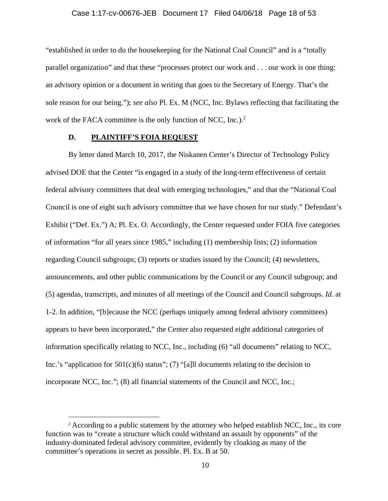# Case 1:17-cv-00676-JEB Document 17 Filed 04/06/18 Page 18 of 53

"established in order to do the housekeeping for the National Coal Council" and is a "totally parallel organization" and that these "processes protect our work and . . . our work is one thing: an advisory opinion or a document in writing that goes to the Secretary of Energy. That's the sole reason for our being."); *see also* Pl. Ex. M (NCC, Inc. Bylaws reflecting that facilitating the work of the FACA committee is the only function of NCC, Inc.).<sup>2</sup>

# **D. PLAINTIFF'S FOIA REQUEST**

 $\overline{a}$ 

 By letter dated March 10, 2017, the Niskanen Center's Director of Technology Policy advised DOE that the Center "is engaged in a study of the long-term effectiveness of certain federal advisory committees that deal with emerging technologies," and that the "National Coal Council is one of eight such advisory committee that we have chosen for our study." Defendant's Exhibit ("Def. Ex.") A; Pl. Ex. O. Accordingly, the Center requested under FOIA five categories of information "for all years since 1985," including (1) membership lists; (2) information regarding Council subgroups; (3) reports or studies issued by the Council; (4) newsletters, announcements, and other public communications by the Council or any Council subgroup; and (5) agendas, transcripts, and minutes of all meetings of the Council and Council subgroups. *Id*. at 1-2. In addition, "[b]ecause the NCC (perhaps uniquely among federal advisory committees) appears to have been incorporated," the Center also requested eight additional categories of information specifically relating to NCC, Inc., including (6) "all documents" relating to NCC, Inc.'s "application for  $501(c)(6)$  status"; (7) "[a]ll documents relating to the decision to incorporate NCC, Inc."; (8) all financial statements of the Council and NCC, Inc.;

<sup>&</sup>lt;sup>2</sup> According to a public statement by the attorney who helped establish NCC, Inc., its core function was to "create a structure which could withstand an assault by opponents" of the industry-dominated federal advisory committee, evidently by cloaking as many of the committee's operations in secret as possible. Pl. Ex. B at 50.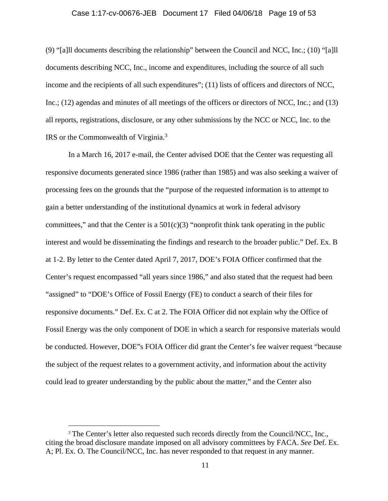# Case 1:17-cv-00676-JEB Document 17 Filed 04/06/18 Page 19 of 53

(9) "[a]ll documents describing the relationship" between the Council and NCC, Inc.; (10) "[a]ll documents describing NCC, Inc., income and expenditures, including the source of all such income and the recipients of all such expenditures"; (11) lists of officers and directors of NCC, Inc.; (12) agendas and minutes of all meetings of the officers or directors of NCC, Inc.; and (13) all reports, registrations, disclosure, or any other submissions by the NCC or NCC, Inc. to the IRS or the Commonwealth of Virginia.<sup>3</sup>

 In a March 16, 2017 e-mail, the Center advised DOE that the Center was requesting all responsive documents generated since 1986 (rather than 1985) and was also seeking a waiver of processing fees on the grounds that the "purpose of the requested information is to attempt to gain a better understanding of the institutional dynamics at work in federal advisory committees," and that the Center is a  $501(c)(3)$  "nonprofit think tank operating in the public interest and would be disseminating the findings and research to the broader public." Def. Ex. B at 1-2. By letter to the Center dated April 7, 2017, DOE's FOIA Officer confirmed that the Center's request encompassed "all years since 1986," and also stated that the request had been "assigned" to "DOE's Office of Fossil Energy (FE) to conduct a search of their files for responsive documents." Def. Ex. C at 2. The FOIA Officer did not explain why the Office of Fossil Energy was the only component of DOE in which a search for responsive materials would be conducted. However, DOE"s FOIA Officer did grant the Center's fee waiver request "because the subject of the request relates to a government activity, and information about the activity could lead to greater understanding by the public about the matter," and the Center also

 $\overline{a}$ 

<sup>&</sup>lt;sup>3</sup> The Center's letter also requested such records directly from the Council/NCC, Inc., citing the broad disclosure mandate imposed on all advisory committees by FACA. *See* Def. Ex. A; Pl. Ex. O. The Council/NCC, Inc. has never responded to that request in any manner.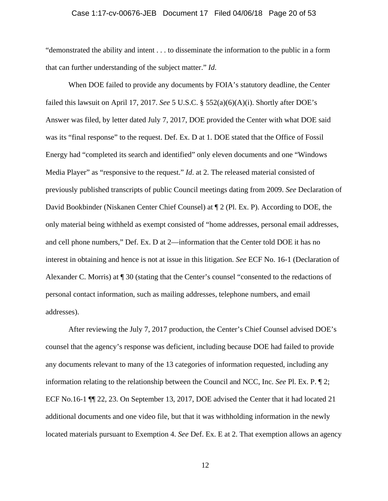# Case 1:17-cv-00676-JEB Document 17 Filed 04/06/18 Page 20 of 53

"demonstrated the ability and intent . . . to disseminate the information to the public in a form that can further understanding of the subject matter." *Id*.

 When DOE failed to provide any documents by FOIA's statutory deadline, the Center failed this lawsuit on April 17, 2017. *See* 5 U.S.C. § 552(a)(6)(A)(i). Shortly after DOE's Answer was filed, by letter dated July 7, 2017, DOE provided the Center with what DOE said was its "final response" to the request. Def. Ex. D at 1. DOE stated that the Office of Fossil Energy had "completed its search and identified" only eleven documents and one "Windows Media Player" as "responsive to the request." *Id*. at 2. The released material consisted of previously published transcripts of public Council meetings dating from 2009. *See* Declaration of David Bookbinder (Niskanen Center Chief Counsel) at ¶ 2 (Pl. Ex. P). According to DOE, the only material being withheld as exempt consisted of "home addresses, personal email addresses, and cell phone numbers," Def. Ex. D at 2—information that the Center told DOE it has no interest in obtaining and hence is not at issue in this litigation. *See* ECF No. 16-1 (Declaration of Alexander C. Morris) at ¶ 30 (stating that the Center's counsel "consented to the redactions of personal contact information, such as mailing addresses, telephone numbers, and email addresses).

 After reviewing the July 7, 2017 production, the Center's Chief Counsel advised DOE's counsel that the agency's response was deficient, including because DOE had failed to provide any documents relevant to many of the 13 categories of information requested, including any information relating to the relationship between the Council and NCC, Inc. *See* Pl. Ex. P. ¶ 2; ECF No.16-1 ¶¶ 22, 23. On September 13, 2017, DOE advised the Center that it had located 21 additional documents and one video file, but that it was withholding information in the newly located materials pursuant to Exemption 4. *See* Def. Ex. E at 2. That exemption allows an agency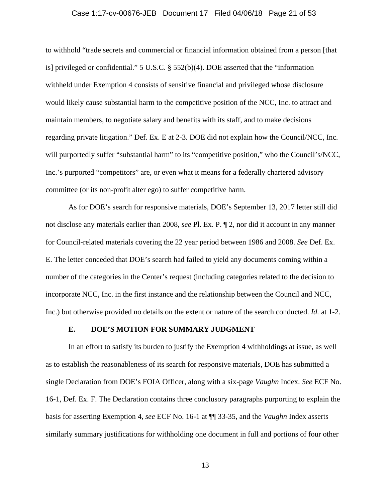#### Case 1:17-cv-00676-JEB Document 17 Filed 04/06/18 Page 21 of 53

to withhold "trade secrets and commercial or financial information obtained from a person [that is] privileged or confidential." 5 U.S.C. § 552(b)(4). DOE asserted that the "information withheld under Exemption 4 consists of sensitive financial and privileged whose disclosure would likely cause substantial harm to the competitive position of the NCC, Inc. to attract and maintain members, to negotiate salary and benefits with its staff, and to make decisions regarding private litigation." Def. Ex. E at 2-3. DOE did not explain how the Council/NCC, Inc. will purportedly suffer "substantial harm" to its "competitive position," who the Council's/NCC, Inc.'s purported "competitors" are, or even what it means for a federally chartered advisory committee (or its non-profit alter ego) to suffer competitive harm.

 As for DOE's search for responsive materials, DOE's September 13, 2017 letter still did not disclose any materials earlier than 2008, *see* Pl. Ex. P. ¶ 2, nor did it account in any manner for Council-related materials covering the 22 year period between 1986 and 2008. *See* Def. Ex. E. The letter conceded that DOE's search had failed to yield any documents coming within a number of the categories in the Center's request (including categories related to the decision to incorporate NCC, Inc. in the first instance and the relationship between the Council and NCC, Inc.) but otherwise provided no details on the extent or nature of the search conducted. *Id.* at 1-2.

#### **E. DOE'S MOTION FOR SUMMARY JUDGMENT**

 In an effort to satisfy its burden to justify the Exemption 4 withholdings at issue, as well as to establish the reasonableness of its search for responsive materials, DOE has submitted a single Declaration from DOE's FOIA Officer, along with a six-page *Vaughn* Index. *See* ECF No. 16-1, Def. Ex. F. The Declaration contains three conclusory paragraphs purporting to explain the basis for asserting Exemption 4, *see* ECF No. 16-1 at ¶¶ 33-35, and the *Vaughn* Index asserts similarly summary justifications for withholding one document in full and portions of four other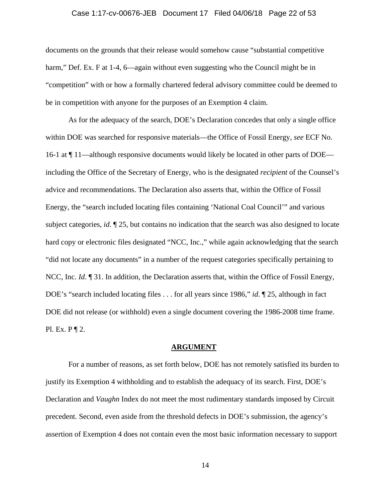# Case 1:17-cv-00676-JEB Document 17 Filed 04/06/18 Page 22 of 53

documents on the grounds that their release would somehow cause "substantial competitive harm," Def. Ex. F at 1-4, 6—again without even suggesting who the Council might be in "competition" with or how a formally chartered federal advisory committee could be deemed to be in competition with anyone for the purposes of an Exemption 4 claim.

 As for the adequacy of the search, DOE's Declaration concedes that only a single office within DOE was searched for responsive materials—the Office of Fossil Energy, *see* ECF No. 16-1 at ¶ 11—although responsive documents would likely be located in other parts of DOE including the Office of the Secretary of Energy, who is the designated *recipient* of the Counsel's advice and recommendations. The Declaration also asserts that, within the Office of Fossil Energy, the "search included locating files containing 'National Coal Council'" and various subject categories, *id*. ¶ 25, but contains no indication that the search was also designed to locate hard copy or electronic files designated "NCC, Inc.," while again acknowledging that the search "did not locate any documents" in a number of the request categories specifically pertaining to NCC, Inc. *Id*.  $\llbracket 31$ . In addition, the Declaration asserts that, within the Office of Fossil Energy, DOE's "search included locating files . . . for all years since 1986," *id*. ¶ 25, although in fact DOE did not release (or withhold) even a single document covering the 1986-2008 time frame. Pl. Ex. P ¶ 2.

#### **ARGUMENT**

 For a number of reasons, as set forth below, DOE has not remotely satisfied its burden to justify its Exemption 4 withholding and to establish the adequacy of its search. First, DOE's Declaration and *Vaughn* Index do not meet the most rudimentary standards imposed by Circuit precedent. Second, even aside from the threshold defects in DOE's submission, the agency's assertion of Exemption 4 does not contain even the most basic information necessary to support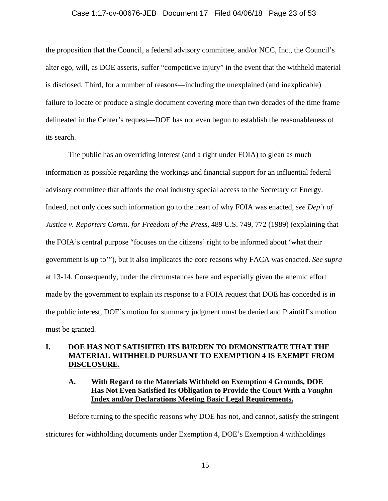# Case 1:17-cv-00676-JEB Document 17 Filed 04/06/18 Page 23 of 53

the proposition that the Council, a federal advisory committee, and/or NCC, Inc., the Council's alter ego, will, as DOE asserts, suffer "competitive injury" in the event that the withheld material is disclosed. Third, for a number of reasons—including the unexplained (and inexplicable) failure to locate or produce a single document covering more than two decades of the time frame delineated in the Center's request—DOE has not even begun to establish the reasonableness of its search.

 The public has an overriding interest (and a right under FOIA) to glean as much information as possible regarding the workings and financial support for an influential federal advisory committee that affords the coal industry special access to the Secretary of Energy. Indeed, not only does such information go to the heart of why FOIA was enacted, *see Dep't of Justice v. Reporters Comm. for Freedom of the Press*, 489 U.S. 749, 772 (1989) (explaining that the FOIA's central purpose "focuses on the citizens' right to be informed about 'what their government is up to'"), but it also implicates the core reasons why FACA was enacted. *See supra* at 13-14. Consequently, under the circumstances here and especially given the anemic effort made by the government to explain its response to a FOIA request that DOE has conceded is in the public interest, DOE's motion for summary judgment must be denied and Plaintiff's motion must be granted.

# **I. DOE HAS NOT SATISIFIED ITS BURDEN TO DEMONSTRATE THAT THE MATERIAL WITHHELD PURSUANT TO EXEMPTION 4 IS EXEMPT FROM DISCLOSURE.**

# **A. With Regard to the Materials Withheld on Exemption 4 Grounds, DOE Has Not Even Satisfied Its Obligation to Provide the Court With a** *Vaughn* **Index and/or Declarations Meeting Basic Legal Requirements.**

Before turning to the specific reasons why DOE has not, and cannot, satisfy the stringent strictures for withholding documents under Exemption 4, DOE's Exemption 4 withholdings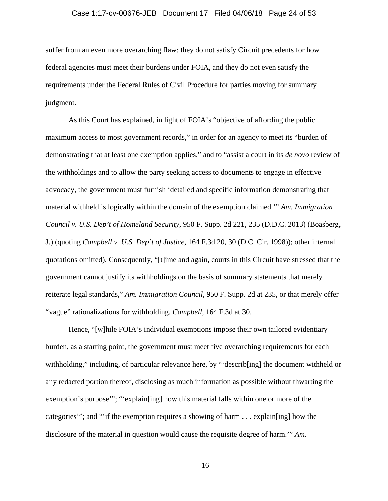# Case 1:17-cv-00676-JEB Document 17 Filed 04/06/18 Page 24 of 53

suffer from an even more overarching flaw: they do not satisfy Circuit precedents for how federal agencies must meet their burdens under FOIA, and they do not even satisfy the requirements under the Federal Rules of Civil Procedure for parties moving for summary judgment.

As this Court has explained, in light of FOIA's "objective of affording the public maximum access to most government records," in order for an agency to meet its "burden of demonstrating that at least one exemption applies," and to "assist a court in its *de novo* review of the withholdings and to allow the party seeking access to documents to engage in effective advocacy, the government must furnish 'detailed and specific information demonstrating that material withheld is logically within the domain of the exemption claimed.'" *Am. Immigration Council v. U.S. Dep't of Homeland Security*, 950 F. Supp. 2d 221, 235 (D.D.C. 2013) (Boasberg, J.) (quoting *Campbell v. U.S. Dep't of Justice*, 164 F.3d 20, 30 (D.C. Cir. 1998)); other internal quotations omitted). Consequently, "[t]ime and again, courts in this Circuit have stressed that the government cannot justify its withholdings on the basis of summary statements that merely reiterate legal standards," *Am. Immigration Council*, 950 F. Supp. 2d at 235, or that merely offer "vague" rationalizations for withholding. *Campbell*, 164 F.3d at 30.

Hence, "[w]hile FOIA's individual exemptions impose their own tailored evidentiary burden, as a starting point, the government must meet five overarching requirements for each withholding," including, of particular relevance here, by "'describ[ing] the document withheld or any redacted portion thereof, disclosing as much information as possible without thwarting the exemption's purpose'"; "'explain[ing] how this material falls within one or more of the categories'"; and "'if the exemption requires a showing of harm . . . explain[ing] how the disclosure of the material in question would cause the requisite degree of harm.'" *Am.*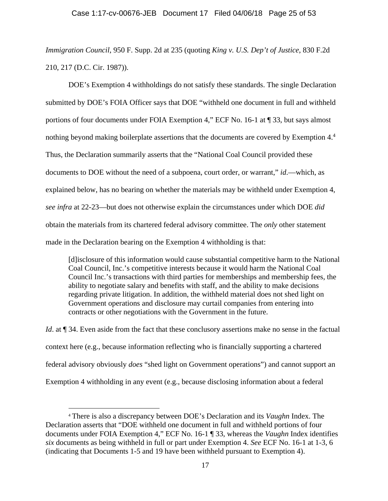# Case 1:17-cv-00676-JEB Document 17 Filed 04/06/18 Page 25 of 53

*Immigration Council*, 950 F. Supp. 2d at 235 (quoting *King v. U.S. Dep't of Justice*, 830 F.2d 210, 217 (D.C. Cir. 1987)).

DOE's Exemption 4 withholdings do not satisfy these standards. The single Declaration submitted by DOE's FOIA Officer says that DOE "withheld one document in full and withheld portions of four documents under FOIA Exemption 4," ECF No. 16-1 at ¶ 33, but says almost nothing beyond making boilerplate assertions that the documents are covered by Exemption 4.4 Thus, the Declaration summarily asserts that the "National Coal Council provided these documents to DOE without the need of a subpoena, court order, or warrant," *id*.—which, as explained below, has no bearing on whether the materials may be withheld under Exemption 4, *see infra* at 22-23—but does not otherwise explain the circumstances under which DOE *did* obtain the materials from its chartered federal advisory committee. The *only* other statement made in the Declaration bearing on the Exemption 4 withholding is that:

[d]isclosure of this information would cause substantial competitive harm to the National Coal Council, Inc.'s competitive interests because it would harm the National Coal Council Inc.'s transactions with third parties for memberships and membership fees, the ability to negotiate salary and benefits with staff, and the ability to make decisions regarding private litigation. In addition, the withheld material does not shed light on Government operations and disclosure may curtail companies from entering into contracts or other negotiations with the Government in the future.

*Id*. at ¶ 34. Even aside from the fact that these conclusory assertions make no sense in the factual context here (e.g., because information reflecting who is financially supporting a chartered federal advisory obviously *does* "shed light on Government operations") and cannot support an Exemption 4 withholding in any event (e.g., because disclosing information about a federal

<sup>4</sup> There is also a discrepancy between DOE's Declaration and its *Vaughn* Index. The Declaration asserts that "DOE withheld one document in full and withheld portions of four documents under FOIA Exemption 4," ECF No. 16-1 ¶ 33, whereas the *Vaughn* Index identifies *six* documents as being withheld in full or part under Exemption 4. *See* ECF No. 16-1 at 1-3, 6 (indicating that Documents 1-5 and 19 have been withheld pursuant to Exemption 4).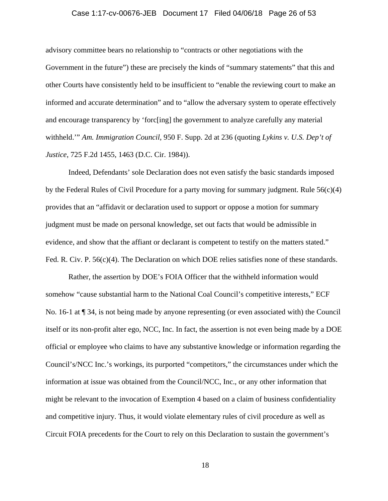# Case 1:17-cv-00676-JEB Document 17 Filed 04/06/18 Page 26 of 53

advisory committee bears no relationship to "contracts or other negotiations with the Government in the future") these are precisely the kinds of "summary statements" that this and other Courts have consistently held to be insufficient to "enable the reviewing court to make an informed and accurate determination" and to "allow the adversary system to operate effectively and encourage transparency by 'forc[ing] the government to analyze carefully any material withheld.'" *Am. Immigration Council*, 950 F. Supp. 2d at 236 (quoting *Lykins v. U.S. Dep't of Justice*, 725 F.2d 1455, 1463 (D.C. Cir. 1984)).

Indeed, Defendants' sole Declaration does not even satisfy the basic standards imposed by the Federal Rules of Civil Procedure for a party moving for summary judgment. Rule 56(c)(4) provides that an "affidavit or declaration used to support or oppose a motion for summary judgment must be made on personal knowledge, set out facts that would be admissible in evidence, and show that the affiant or declarant is competent to testify on the matters stated." Fed. R. Civ. P. 56(c)(4). The Declaration on which DOE relies satisfies none of these standards.

Rather, the assertion by DOE's FOIA Officer that the withheld information would somehow "cause substantial harm to the National Coal Council's competitive interests," ECF No. 16-1 at ¶ 34, is not being made by anyone representing (or even associated with) the Council itself or its non-profit alter ego, NCC, Inc. In fact, the assertion is not even being made by a DOE official or employee who claims to have any substantive knowledge or information regarding the Council's/NCC Inc.'s workings, its purported "competitors," the circumstances under which the information at issue was obtained from the Council/NCC, Inc., or any other information that might be relevant to the invocation of Exemption 4 based on a claim of business confidentiality and competitive injury. Thus, it would violate elementary rules of civil procedure as well as Circuit FOIA precedents for the Court to rely on this Declaration to sustain the government's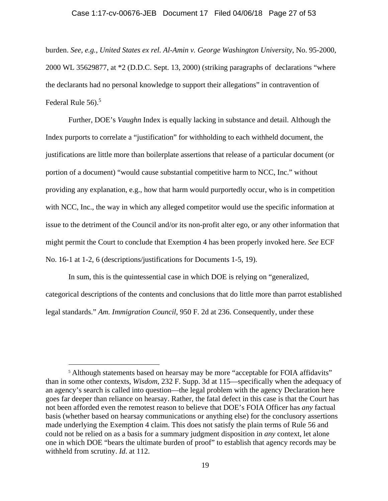#### Case 1:17-cv-00676-JEB Document 17 Filed 04/06/18 Page 27 of 53

burden. *See, e.g.*, *United States ex rel. Al-Amin v. George Washington University*, No. 95-2000, 2000 WL 35629877, at \*2 (D.D.C. Sept. 13, 2000) (striking paragraphs of declarations "where the declarants had no personal knowledge to support their allegations" in contravention of Federal Rule 56).<sup>5</sup>

 Further, DOE's *Vaughn* Index is equally lacking in substance and detail. Although the Index purports to correlate a "justification" for withholding to each withheld document, the justifications are little more than boilerplate assertions that release of a particular document (or portion of a document) "would cause substantial competitive harm to NCC, Inc." without providing any explanation, e.g., how that harm would purportedly occur, who is in competition with NCC, Inc., the way in which any alleged competitor would use the specific information at issue to the detriment of the Council and/or its non-profit alter ego, or any other information that might permit the Court to conclude that Exemption 4 has been properly invoked here. *See* ECF No. 16-1 at 1-2, 6 (descriptions/justifications for Documents 1-5, 19).

 In sum, this is the quintessential case in which DOE is relying on "generalized, categorical descriptions of the contents and conclusions that do little more than parrot established legal standards." *Am. Immigration Council*, 950 F. 2d at 236. Consequently, under these

 $\overline{a}$ 

<sup>&</sup>lt;sup>5</sup> Although statements based on hearsay may be more "acceptable for FOIA affidavits" than in some other contexts, *Wisdom*, 232 F. Supp. 3d at 115—specifically when the adequacy of an agency's search is called into question—the legal problem with the agency Declaration here goes far deeper than reliance on hearsay. Rather, the fatal defect in this case is that the Court has not been afforded even the remotest reason to believe that DOE's FOIA Officer has *any* factual basis (whether based on hearsay communications or anything else) for the conclusory assertions made underlying the Exemption 4 claim. This does not satisfy the plain terms of Rule 56 and could not be relied on as a basis for a summary judgment disposition in *any* context, let alone one in which DOE "bears the ultimate burden of proof" to establish that agency records may be withheld from scrutiny. *Id*. at 112.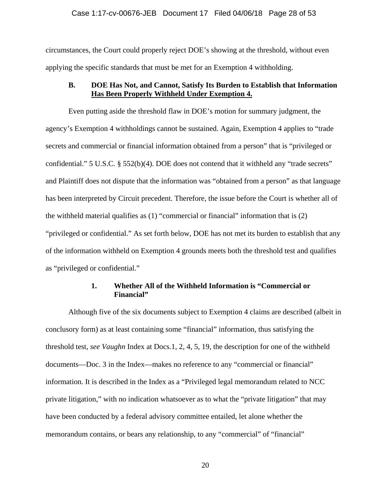# Case 1:17-cv-00676-JEB Document 17 Filed 04/06/18 Page 28 of 53

circumstances, the Court could properly reject DOE's showing at the threshold, without even applying the specific standards that must be met for an Exemption 4 withholding.

# **B. DOE Has Not, and Cannot, Satisfy Its Burden to Establish that Information Has Been Properly Withheld Under Exemption 4.**

Even putting aside the threshold flaw in DOE's motion for summary judgment, the agency's Exemption 4 withholdings cannot be sustained. Again, Exemption 4 applies to "trade secrets and commercial or financial information obtained from a person" that is "privileged or confidential." 5 U.S.C. § 552(b)(4). DOE does not contend that it withheld any "trade secrets" and Plaintiff does not dispute that the information was "obtained from a person" as that language has been interpreted by Circuit precedent. Therefore, the issue before the Court is whether all of the withheld material qualifies as (1) "commercial or financial" information that is (2) "privileged or confidential." As set forth below, DOE has not met its burden to establish that any of the information withheld on Exemption 4 grounds meets both the threshold test and qualifies as "privileged or confidential."

# **1. Whether All of the Withheld Information is "Commercial or Financial"**

Although five of the six documents subject to Exemption 4 claims are described (albeit in conclusory form) as at least containing some "financial" information, thus satisfying the threshold test, *see Vaughn* Index at Docs.1, 2, 4, 5, 19, the description for one of the withheld documents—Doc. 3 in the Index—makes no reference to any "commercial or financial" information. It is described in the Index as a "Privileged legal memorandum related to NCC private litigation," with no indication whatsoever as to what the "private litigation" that may have been conducted by a federal advisory committee entailed, let alone whether the memorandum contains, or bears any relationship, to any "commercial" of "financial"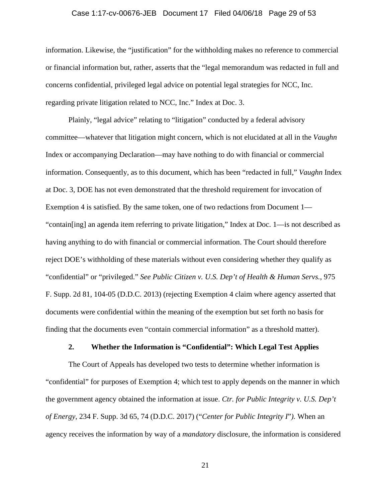# Case 1:17-cv-00676-JEB Document 17 Filed 04/06/18 Page 29 of 53

information. Likewise, the "justification" for the withholding makes no reference to commercial or financial information but, rather, asserts that the "legal memorandum was redacted in full and concerns confidential, privileged legal advice on potential legal strategies for NCC, Inc. regarding private litigation related to NCC, Inc." Index at Doc. 3.

Plainly, "legal advice" relating to "litigation" conducted by a federal advisory committee—whatever that litigation might concern, which is not elucidated at all in the *Vaughn*  Index or accompanying Declaration—may have nothing to do with financial or commercial information. Consequently, as to this document, which has been "redacted in full," *Vaughn* Index at Doc. 3, DOE has not even demonstrated that the threshold requirement for invocation of Exemption 4 is satisfied. By the same token, one of two redactions from Document 1— "contain[ing] an agenda item referring to private litigation," Index at Doc. 1—is not described as having anything to do with financial or commercial information. The Court should therefore reject DOE's withholding of these materials without even considering whether they qualify as "confidential" or "privileged." *See Public Citizen v. U.S. Dep't of Health & Human Servs.*, 975 F. Supp. 2d 81, 104-05 (D.D.C. 2013) (rejecting Exemption 4 claim where agency asserted that documents were confidential within the meaning of the exemption but set forth no basis for finding that the documents even "contain commercial information" as a threshold matter).

# **2. Whether the Information is "Confidential": Which Legal Test Applies**

The Court of Appeals has developed two tests to determine whether information is "confidential" for purposes of Exemption 4; which test to apply depends on the manner in which the government agency obtained the information at issue. *Ctr. for Public Integrity v. U.S. Dep't of Energy*, 234 F. Supp. 3d 65, 74 (D.D.C. 2017) ("*Center for Public Integrity I*"*).* When an agency receives the information by way of a *mandatory* disclosure, the information is considered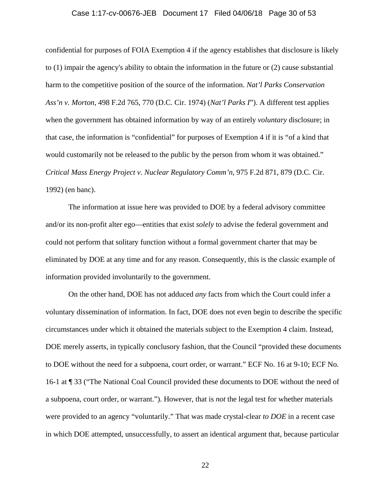#### Case 1:17-cv-00676-JEB Document 17 Filed 04/06/18 Page 30 of 53

confidential for purposes of FOIA Exemption 4 if the agency establishes that disclosure is likely to (1) impair the agency's ability to obtain the information in the future or (2) cause substantial harm to the competitive position of the source of the information. *Nat'l Parks Conservation Ass'n v. Morton*, 498 F.2d 765, 770 (D.C. Cir. 1974) (*Nat'l Parks I*"). A different test applies when the government has obtained information by way of an entirely *voluntary* disclosure; in that case, the information is "confidential" for purposes of Exemption 4 if it is "of a kind that would customarily not be released to the public by the person from whom it was obtained." *Critical Mass Energy Project v. Nuclear Regulatory Comm'n*, 975 F.2d 871, 879 (D.C. Cir. 1992) (en banc).

 The information at issue here was provided to DOE by a federal advisory committee and/or its non-profit alter ego—entities that exist *solely* to advise the federal government and could not perform that solitary function without a formal government charter that may be eliminated by DOE at any time and for any reason. Consequently, this is the classic example of information provided involuntarily to the government.

On the other hand, DOE has not adduced *any* facts from which the Court could infer a voluntary dissemination of information. In fact, DOE does not even begin to describe the specific circumstances under which it obtained the materials subject to the Exemption 4 claim. Instead, DOE merely asserts, in typically conclusory fashion, that the Council "provided these documents to DOE without the need for a subpoena, court order, or warrant." ECF No. 16 at 9-10; ECF No. 16-1 at ¶ 33 ("The National Coal Council provided these documents to DOE without the need of a subpoena, court order, or warrant."). However, that is *not* the legal test for whether materials were provided to an agency "voluntarily." That was made crystal-clear *to DOE* in a recent case in which DOE attempted, unsuccessfully, to assert an identical argument that, because particular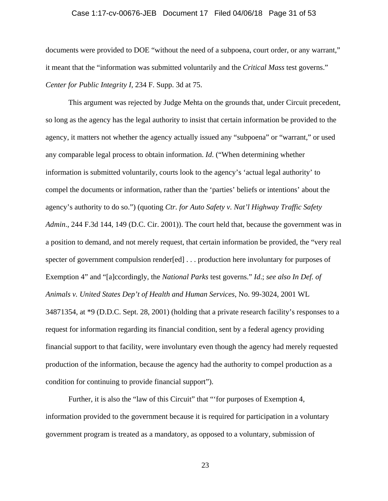# Case 1:17-cv-00676-JEB Document 17 Filed 04/06/18 Page 31 of 53

documents were provided to DOE "without the need of a subpoena, court order, or any warrant," it meant that the "information was submitted voluntarily and the *Critical Mass* test governs." *Center for Public Integrity I*, 234 F. Supp. 3d at 75.

This argument was rejected by Judge Mehta on the grounds that, under Circuit precedent, so long as the agency has the legal authority to insist that certain information be provided to the agency, it matters not whether the agency actually issued any "subpoena" or "warrant," or used any comparable legal process to obtain information. *Id*. ("When determining whether information is submitted voluntarily, courts look to the agency's 'actual legal authority' to compel the documents or information, rather than the 'parties' beliefs or intentions' about the agency's authority to do so.") (quoting *Ctr. for Auto Safety v. Nat'l Highway Traffic Safety Admin*., 244 F.3d 144, 149 (D.C. Cir. 2001)). The court held that, because the government was in a position to demand, and not merely request, that certain information be provided, the "very real specter of government compulsion render[ed] . . . production here involuntary for purposes of Exemption 4" and "[a]ccordingly, the *National Parks* test governs." *Id*.; *see also In Def. of Animals v. United States Dep't of Health and Human Services*, No. 99-3024, 2001 WL 34871354, at \*9 (D.D.C. Sept. 28, 2001) (holding that a private research facility's responses to a request for information regarding its financial condition, sent by a federal agency providing financial support to that facility, were involuntary even though the agency had merely requested production of the information, because the agency had the authority to compel production as a condition for continuing to provide financial support").

Further, it is also the "law of this Circuit" that "'for purposes of Exemption 4, information provided to the government because it is required for participation in a voluntary government program is treated as a mandatory, as opposed to a voluntary, submission of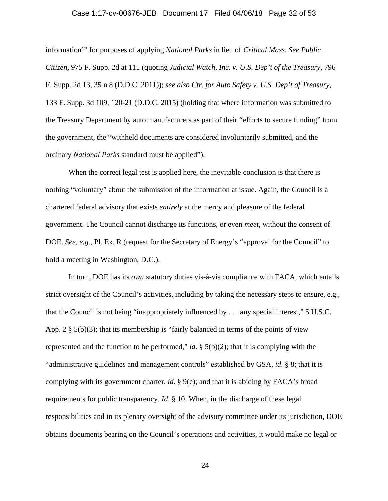# Case 1:17-cv-00676-JEB Document 17 Filed 04/06/18 Page 32 of 53

information'" for purposes of applying *National Parks* in lieu of *Critical Mass*. *See Public Citizen*, 975 F. Supp. 2d at 111 (quoting *Judicial Watch, Inc. v. U.S. Dep't of the Treasury*, 796 F. Supp. 2d 13, 35 n.8 (D.D.C. 2011)); *see also Ctr. for Auto Safety v. U.S. Dep't of Treasury*, 133 F. Supp. 3d 109, 120-21 (D.D.C. 2015) (holding that where information was submitted to the Treasury Department by auto manufacturers as part of their "efforts to secure funding" from the government, the "withheld documents are considered involuntarily submitted, and the ordinary *National Parks* standard must be applied").

 When the correct legal test is applied here, the inevitable conclusion is that there is nothing "voluntary" about the submission of the information at issue. Again, the Council is a chartered federal advisory that exists *entirely* at the mercy and pleasure of the federal government. The Council cannot discharge its functions, or even *meet*, without the consent of DOE. *See, e.g.*, Pl. Ex. R (request for the Secretary of Energy's "approval for the Council" to hold a meeting in Washington, D.C.).

In turn, DOE has its *own* statutory duties vis-à-vis compliance with FACA, which entails strict oversight of the Council's activities, including by taking the necessary steps to ensure, e.g., that the Council is not being "inappropriately influenced by . . . any special interest," 5 U.S.C. App. 2  $\S$  5(b)(3); that its membership is "fairly balanced in terms of the points of view represented and the function to be performed," *id*. § 5(b)(2); that it is complying with the "administrative guidelines and management controls" established by GSA, *id*. § 8; that it is complying with its government charter, *id*. § 9(c); and that it is abiding by FACA's broad requirements for public transparency. *Id*. § 10. When, in the discharge of these legal responsibilities and in its plenary oversight of the advisory committee under its jurisdiction, DOE obtains documents bearing on the Council's operations and activities, it would make no legal or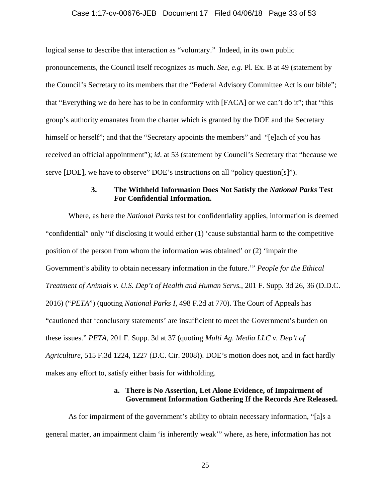# Case 1:17-cv-00676-JEB Document 17 Filed 04/06/18 Page 33 of 53

logical sense to describe that interaction as "voluntary." Indeed, in its own public pronouncements, the Council itself recognizes as much. *See, e.g.* Pl. Ex. B at 49 (statement by the Council's Secretary to its members that the "Federal Advisory Committee Act is our bible"; that "Everything we do here has to be in conformity with [FACA] or we can't do it"; that "this group's authority emanates from the charter which is granted by the DOE and the Secretary himself or herself"; and that the "Secretary appoints the members" and "[e]ach of you has received an official appointment"); *id*. at 53 (statement by Council's Secretary that "because we serve [DOE], we have to observe" DOE's instructions on all "policy question[s]").

# **3. The Withheld Information Does Not Satisfy the** *National Parks* **Test For Confidential Information.**

Where, as here the *National Parks* test for confidentiality applies, information is deemed "confidential" only "if disclosing it would either (1) 'cause substantial harm to the competitive position of the person from whom the information was obtained' or (2) 'impair the Government's ability to obtain necessary information in the future.'" *People for the Ethical Treatment of Animals v. U.S. Dep't of Health and Human Servs.*, 201 F. Supp. 3d 26, 36 (D.D.C. 2016) ("*PETA*") (quoting *National Parks I*, 498 F.2d at 770). The Court of Appeals has "cautioned that 'conclusory statements' are insufficient to meet the Government's burden on these issues." *PETA*, 201 F. Supp. 3d at 37 (quoting *Multi Ag. Media LLC v. Dep't of Agriculture*, 515 F.3d 1224, 1227 (D.C. Cir. 2008)). DOE's motion does not, and in fact hardly makes any effort to, satisfy either basis for withholding.

# **a. There is No Assertion, Let Alone Evidence, of Impairment of Government Information Gathering If the Records Are Released.**

As for impairment of the government's ability to obtain necessary information, "[a]s a general matter, an impairment claim 'is inherently weak'" where, as here, information has not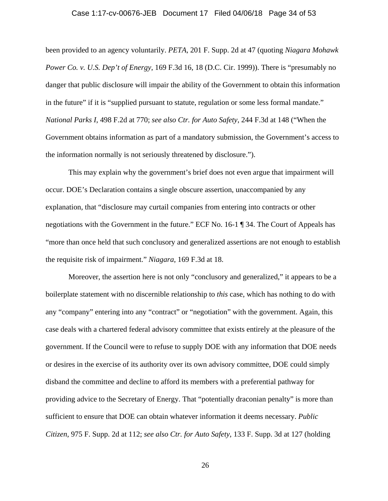# Case 1:17-cv-00676-JEB Document 17 Filed 04/06/18 Page 34 of 53

been provided to an agency voluntarily. *PETA*, 201 F. Supp. 2d at 47 (quoting *Niagara Mohawk Power Co. v. U.S. Dep't of Energy*, 169 F.3d 16, 18 (D.C. Cir. 1999)). There is "presumably no danger that public disclosure will impair the ability of the Government to obtain this information in the future" if it is "supplied pursuant to statute, regulation or some less formal mandate." *National Parks I*, 498 F.2d at 770; *see also Ctr. for Auto Safety*, 244 F.3d at 148 ("When the Government obtains information as part of a mandatory submission, the Government's access to the information normally is not seriously threatened by disclosure.").

This may explain why the government's brief does not even argue that impairment will occur. DOE's Declaration contains a single obscure assertion, unaccompanied by any explanation, that "disclosure may curtail companies from entering into contracts or other negotiations with the Government in the future." ECF No. 16-1 ¶ 34. The Court of Appeals has "more than once held that such conclusory and generalized assertions are not enough to establish the requisite risk of impairment." *Niagara*, 169 F.3d at 18.

Moreover, the assertion here is not only "conclusory and generalized," it appears to be a boilerplate statement with no discernible relationship to *this* case, which has nothing to do with any "company" entering into any "contract" or "negotiation" with the government. Again, this case deals with a chartered federal advisory committee that exists entirely at the pleasure of the government. If the Council were to refuse to supply DOE with any information that DOE needs or desires in the exercise of its authority over its own advisory committee, DOE could simply disband the committee and decline to afford its members with a preferential pathway for providing advice to the Secretary of Energy. That "potentially draconian penalty" is more than sufficient to ensure that DOE can obtain whatever information it deems necessary. *Public Citizen*, 975 F. Supp. 2d at 112; *see also Ctr. for Auto Safety*, 133 F. Supp. 3d at 127 (holding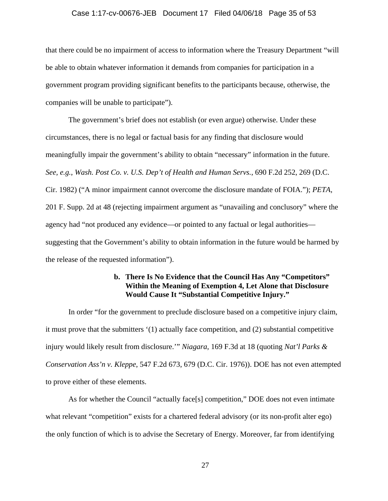### Case 1:17-cv-00676-JEB Document 17 Filed 04/06/18 Page 35 of 53

that there could be no impairment of access to information where the Treasury Department "will be able to obtain whatever information it demands from companies for participation in a government program providing significant benefits to the participants because, otherwise, the companies will be unable to participate").

The government's brief does not establish (or even argue) otherwise. Under these circumstances, there is no legal or factual basis for any finding that disclosure would meaningfully impair the government's ability to obtain "necessary" information in the future. *See, e.g.*, *Wash. Post Co. v. U.S. Dep't of Health and Human Servs.*, 690 F.2d 252, 269 (D.C. Cir. 1982) ("A minor impairment cannot overcome the disclosure mandate of FOIA."); *PETA*, 201 F. Supp. 2d at 48 (rejecting impairment argument as "unavailing and conclusory" where the agency had "not produced any evidence—or pointed to any factual or legal authorities suggesting that the Government's ability to obtain information in the future would be harmed by the release of the requested information").

# **b. There Is No Evidence that the Council Has Any "Competitors" Within the Meaning of Exemption 4, Let Alone that Disclosure Would Cause It "Substantial Competitive Injury."**

In order "for the government to preclude disclosure based on a competitive injury claim, it must prove that the submitters '(1) actually face competition, and (2) substantial competitive injury would likely result from disclosure.'" *Niagara*, 169 F.3d at 18 (quoting *Nat'l Parks & Conservation Ass'n v. Kleppe*, 547 F.2d 673, 679 (D.C. Cir. 1976)). DOE has not even attempted to prove either of these elements.

As for whether the Council "actually face[s] competition," DOE does not even intimate what relevant "competition" exists for a chartered federal advisory (or its non-profit alter ego) the only function of which is to advise the Secretary of Energy. Moreover, far from identifying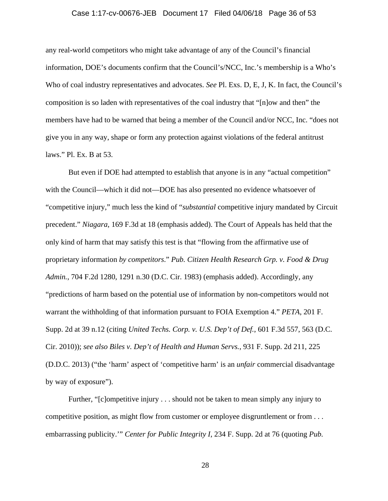#### Case 1:17-cv-00676-JEB Document 17 Filed 04/06/18 Page 36 of 53

any real-world competitors who might take advantage of any of the Council's financial information, DOE's documents confirm that the Council's/NCC, Inc.'s membership is a Who's Who of coal industry representatives and advocates. *See* Pl. Exs. D, E, J, K. In fact, the Council's composition is so laden with representatives of the coal industry that "[n]ow and then" the members have had to be warned that being a member of the Council and/or NCC, Inc. "does not give you in any way, shape or form any protection against violations of the federal antitrust laws." Pl. Ex. B at 53.

But even if DOE had attempted to establish that anyone is in any "actual competition" with the Council—which it did not—DOE has also presented no evidence whatsoever of "competitive injury," much less the kind of "*substantial* competitive injury mandated by Circuit precedent." *Niagara*, 169 F.3d at 18 (emphasis added). The Court of Appeals has held that the only kind of harm that may satisfy this test is that "flowing from the affirmative use of proprietary information *by competitors*." *Pub. Citizen Health Research Grp. v. Food & Drug Admin.*, 704 F.2d 1280, 1291 n.30 (D.C. Cir. 1983) (emphasis added). Accordingly, any "predictions of harm based on the potential use of information by non-competitors would not warrant the withholding of that information pursuant to FOIA Exemption 4." *PETA*, 201 F. Supp. 2d at 39 n.12 (citing *United Techs. Corp. v. U.S. Dep't of Def.*, 601 F.3d 557, 563 (D.C. Cir. 2010)); *see also Biles v. Dep't of Health and Human Servs.*, 931 F. Supp. 2d 211, 225 (D.D.C. 2013) ("the 'harm' aspect of 'competitive harm' is an *unfair* commercial disadvantage by way of exposure").

Further, "[c]ompetitive injury . . . should not be taken to mean simply any injury to competitive position, as might flow from customer or employee disgruntlement or from . . . embarrassing publicity.'" *Center for Public Integrity I*, 234 F. Supp. 2d at 76 (quoting *Pub.*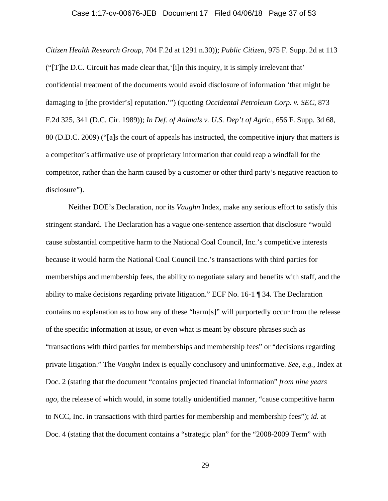### Case 1:17-cv-00676-JEB Document 17 Filed 04/06/18 Page 37 of 53

*Citizen Health Research Group*, 704 F.2d at 1291 n.30)); *Public Citizen*, 975 F. Supp. 2d at 113 ("[T]he D.C. Circuit has made clear that,'[i]n this inquiry, it is simply irrelevant that' confidential treatment of the documents would avoid disclosure of information 'that might be damaging to [the provider's] reputation.'") (quoting *Occidental Petroleum Corp. v. SEC*, 873 F.2d 325, 341 (D.C. Cir. 1989)); *In Def. of Animals v. U.S. Dep't of Agric.*, 656 F. Supp. 3d 68, 80 (D.D.C. 2009) ("[a]s the court of appeals has instructed, the competitive injury that matters is a competitor's affirmative use of proprietary information that could reap a windfall for the competitor, rather than the harm caused by a customer or other third party's negative reaction to disclosure").

 Neither DOE's Declaration, nor its *Vaughn* Index, make any serious effort to satisfy this stringent standard. The Declaration has a vague one-sentence assertion that disclosure "would cause substantial competitive harm to the National Coal Council, Inc.'s competitive interests because it would harm the National Coal Council Inc.'s transactions with third parties for memberships and membership fees, the ability to negotiate salary and benefits with staff, and the ability to make decisions regarding private litigation." ECF No. 16-1 ¶ 34. The Declaration contains no explanation as to how any of these "harm[s]" will purportedly occur from the release of the specific information at issue, or even what is meant by obscure phrases such as "transactions with third parties for memberships and membership fees" or "decisions regarding private litigation." The *Vaughn* Index is equally conclusory and uninformative. *See, e.g.*, Index at Doc. 2 (stating that the document "contains projected financial information" *from nine years ago*, the release of which would, in some totally unidentified manner, "cause competitive harm to NCC, Inc. in transactions with third parties for membership and membership fees"); *id.* at Doc. 4 (stating that the document contains a "strategic plan" for the "2008-2009 Term" with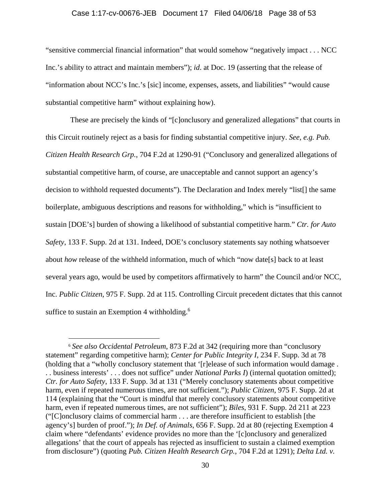### Case 1:17-cv-00676-JEB Document 17 Filed 04/06/18 Page 38 of 53

"sensitive commercial financial information" that would somehow "negatively impact . . . NCC Inc.'s ability to attract and maintain members"); *id*. at Doc. 19 (asserting that the release of "information about NCC's Inc.'s [sic] income, expenses, assets, and liabilities" "would cause substantial competitive harm" without explaining how).

 These are precisely the kinds of "[c]onclusory and generalized allegations" that courts in this Circuit routinely reject as a basis for finding substantial competitive injury. *See, e.g. Pub. Citizen Health Research Grp.*, 704 F.2d at 1290-91 ("Conclusory and generalized allegations of substantial competitive harm, of course, are unacceptable and cannot support an agency's decision to withhold requested documents"). The Declaration and Index merely "list[] the same boilerplate, ambiguous descriptions and reasons for withholding," which is "insufficient to sustain [DOE's] burden of showing a likelihood of substantial competitive harm." *Ctr. for Auto Safety*, 133 F. Supp. 2d at 131. Indeed, DOE's conclusory statements say nothing whatsoever about *how* release of the withheld information, much of which "now date[s] back to at least several years ago, would be used by competitors affirmatively to harm" the Council and/or NCC, Inc. *Public Citizen*, 975 F. Supp. 2d at 115. Controlling Circuit precedent dictates that this cannot suffice to sustain an Exemption 4 withholding.<sup>6</sup>

 $\overline{a}$ 

<sup>6</sup> *See also Occidental Petroleum*, 873 F.2d at 342 (requiring more than "conclusory statement" regarding competitive harm); *Center for Public Integrity I*, 234 F. Supp. 3d at 78 (holding that a "wholly conclusory statement that '[r]elease of such information would damage. . . business interests' . . . does not suffice" under *National Parks I*) (internal quotation omitted); *Ctr. for Auto Safety*, 133 F. Supp. 3d at 131 ("Merely conclusory statements about competitive harm, even if repeated numerous times, are not sufficient."); *Public Citizen*, 975 F. Supp. 2d at 114 (explaining that the "Court is mindful that merely conclusory statements about competitive harm, even if repeated numerous times, are not sufficient"); *Biles*, 931 F. Supp. 2d 211 at 223 ("[C]onclusory claims of commercial harm . . . are therefore insufficient to establish [the agency's] burden of proof."); *In Def. of Animals*, 656 F. Supp. 2d at 80 (rejecting Exemption 4 claim where "defendants' evidence provides no more than the '[c]onclusory and generalized allegations' that the court of appeals has rejected as insufficient to sustain a claimed exemption from disclosure") (quoting *Pub. Citizen Health Research Grp.*, 704 F.2d at 1291); *Delta Ltd. v.*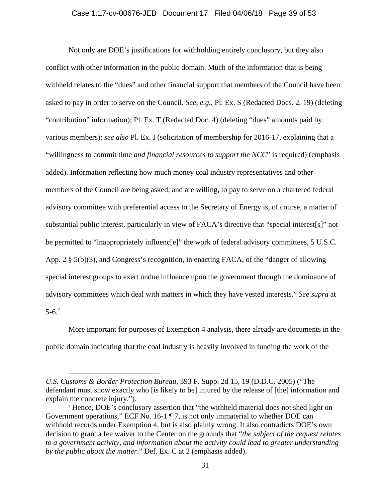### Case 1:17-cv-00676-JEB Document 17 Filed 04/06/18 Page 39 of 53

Not only are DOE's justifications for withholding entirely conclusory, but they also conflict with other information in the public domain. Much of the information that is being withheld relates to the "dues" and other financial support that members of the Council have been asked to pay in order to serve on the Council. *See*, *e.g.*, Pl. Ex. S (Redacted Docs. 2, 19) (deleting "contribution" information); Pl. Ex. T (Redacted Doc. 4) (deleting "dues" amounts paid by various members); *see also* Pl. Ex. I (solicitation of membership for 2016-17, explaining that a "willingness to commit time *and financial resources to support the NCC*" is required) (emphasis added). Information reflecting how much money coal industry representatives and other members of the Council are being asked, and are willing, to pay to serve on a chartered federal advisory committee with preferential access to the Secretary of Energy is, of course, a matter of substantial public interest, particularly in view of FACA's directive that "special interest[s]" not be permitted to "inappropriately influenc[e]" the work of federal advisory committees, 5 U.S.C. App. 2 § 5(b)(3), and Congress's recognition, in enacting FACA, of the "danger of allowing special interest groups to exert undue influence upon the government through the dominance of advisory committees which deal with matters in which they have vested interests." *See supra* at  $5-6.7$ 

More important for purposes of Exemption 4 analysis, there already are documents in the public domain indicating that the coal industry is heavily involved in funding the work of the

 $\overline{a}$ 

*U.S. Customs & Border Protection Bureau*, 393 F. Supp. 2d 15, 19 (D.D.C. 2005) ("The defendant must show exactly who [is likely to be] injured by the release of [the] information and explain the concrete injury.").<br><sup>7</sup> Hence, DOE's conclusory assertion that "the withheld material does not shed light on

Government operations," ECF No. 16-1 ¶ 7, is not only immaterial to whether DOE can withhold records under Exemption 4, but is also plainly wrong. It also contradicts DOE's own decision to grant a fee waiver to the Center on the grounds that "*the subject of the request relates to a government activity, and information about the activity could lead to greater understanding by the public about the matter*." Def. Ex. C at 2 (emphasis added).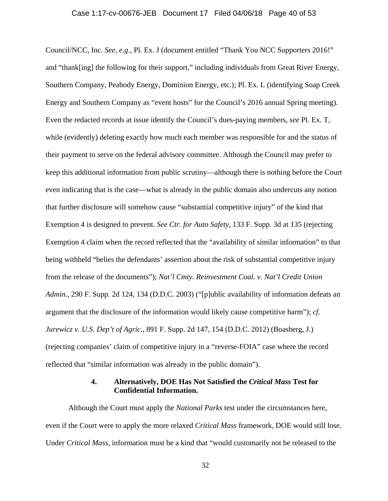# Case 1:17-cv-00676-JEB Document 17 Filed 04/06/18 Page 40 of 53

Council/NCC, Inc. *See, e.g.*, Pl. Ex. J (document entitled "Thank You NCC Supporters 2016!" and "thank[ing] the following for their support," including individuals from Great River Energy, Southern Company, Peabody Energy, Dominion Energy, etc.); Pl. Ex. L (identifying Soap Creek Energy and Southern Company as "event hosts" for the Council's 2016 annual Spring meeting). Even the redacted records at issue identify the Council's dues-paying members, *see* Pl. Ex. T, while (evidently) deleting exactly how much each member was responsible for and the status of their payment to serve on the federal advisory committee. Although the Council may prefer to keep this additional information from public scrutiny—although there is nothing before the Court even indicating that is the case—what is already in the public domain also undercuts any notion that further disclosure will somehow cause "substantial competitive injury" of the kind that Exemption 4 is designed to prevent. *See Ctr. for Auto Safety*, 133 F. Supp. 3d at 135 (rejecting Exemption 4 claim when the record reflected that the "availability of similar information" to that being withheld "belies the defendants' assertion about the risk of substantial competitive injury from the release of the documents"); *Nat'l Cmty. Reinvestment Coal. v. Nat'l Credit Union Admin.*, 290 F. Supp. 2d 124, 134 (D.D.C. 2003) ("[p]ublic availability of information defeats an argument that the disclosure of the information would likely cause competitive harm"); *cf. Jurewicz v. U.S. Dep't of Agric.*, 891 F. Supp. 2d 147, 154 (D.D.C. 2012) (Boasberg, J.) (rejecting companies' claim of competitive injury in a "reverse-FOIA" case where the record reflected that "similar information was already in the public domain").

# **4. Alternatively, DOE Has Not Satisfied the** *Critical Mass* **Test for Confidential Information.**

Although the Court must apply the *National Parks* test under the circumstances here, even if the Court were to apply the more relaxed *Critical Mass* framework, DOE would still lose. Under *Critical Mass*, information must be a kind that "would customarily not be released to the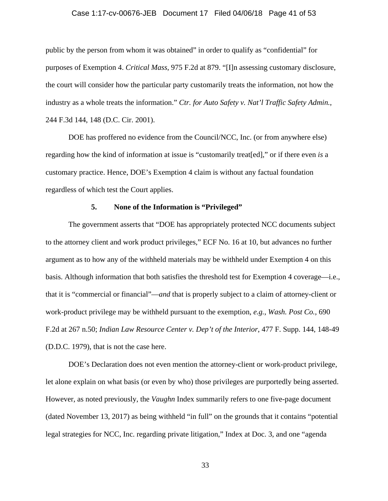#### Case 1:17-cv-00676-JEB Document 17 Filed 04/06/18 Page 41 of 53

public by the person from whom it was obtained" in order to qualify as "confidential" for purposes of Exemption 4. *Critical Mass*, 975 F.2d at 879. "[I]n assessing customary disclosure, the court will consider how the particular party customarily treats the information, not how the industry as a whole treats the information." *Ctr. for Auto Safety v. Nat'l Traffic Safety Admin.*, 244 F.3d 144, 148 (D.C. Cir. 2001).

DOE has proffered no evidence from the Council/NCC, Inc. (or from anywhere else) regarding how the kind of information at issue is "customarily treat[ed]," or if there even *is* a customary practice. Hence, DOE's Exemption 4 claim is without any factual foundation regardless of which test the Court applies.

# **5. None of the Information is "Privileged"**

The government asserts that "DOE has appropriately protected NCC documents subject to the attorney client and work product privileges," ECF No. 16 at 10, but advances no further argument as to how any of the withheld materials may be withheld under Exemption 4 on this basis. Although information that both satisfies the threshold test for Exemption 4 coverage—i.e., that it is "commercial or financial"—*and* that is properly subject to a claim of attorney-client or work-product privilege may be withheld pursuant to the exemption, *e.g.*, *Wash. Post Co.*, 690 F.2d at 267 n.50; *Indian Law Resource Center v. Dep't of the Interior*, 477 F. Supp. 144, 148-49 (D.D.C. 1979), that is not the case here.

 DOE's Declaration does not even mention the attorney-client or work-product privilege, let alone explain on what basis (or even by who) those privileges are purportedly being asserted. However, as noted previously, the *Vaughn* Index summarily refers to one five-page document (dated November 13, 2017) as being withheld "in full" on the grounds that it contains "potential legal strategies for NCC, Inc. regarding private litigation," Index at Doc. 3, and one "agenda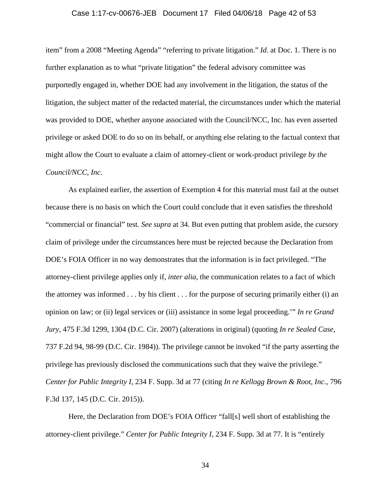# Case 1:17-cv-00676-JEB Document 17 Filed 04/06/18 Page 42 of 53

item" from a 2008 "Meeting Agenda" "referring to private litigation." *Id*. at Doc. 1. There is no further explanation as to what "private litigation" the federal advisory committee was purportedly engaged in, whether DOE had any involvement in the litigation, the status of the litigation, the subject matter of the redacted material, the circumstances under which the material was provided to DOE, whether anyone associated with the Council/NCC, Inc. has even asserted privilege or asked DOE to do so on its behalf, or anything else relating to the factual context that might allow the Court to evaluate a claim of attorney-client or work-product privilege *by the Council/NCC, Inc.*

 As explained earlier, the assertion of Exemption 4 for this material must fail at the outset because there is no basis on which the Court could conclude that it even satisfies the threshold "commercial or financial" test. *See supra* at 34. But even putting that problem aside, the cursory claim of privilege under the circumstances here must be rejected because the Declaration from DOE's FOIA Officer in no way demonstrates that the information is in fact privileged. "The attorney-client privilege applies only if, *inter alia*, the communication relates to a fact of which the attorney was informed . . . by his client . . . for the purpose of securing primarily either (i) an opinion on law; or (ii) legal services or (iii) assistance in some legal proceeding.'" *In re Grand Jury*, 475 F.3d 1299, 1304 (D.C. Cir. 2007) (alterations in original) (quoting *In re Sealed Case*, 737 F.2d 94, 98-99 (D.C. Cir. 1984)). The privilege cannot be invoked "if the party asserting the privilege has previously disclosed the communications such that they waive the privilege." *Center for Public Integrity I*, 234 F. Supp. 3d at 77 (citing *In re Kellogg Brown & Root*, *Inc.*, 796 F.3d 137, 145 (D.C. Cir. 2015)).

 Here, the Declaration from DOE's FOIA Officer "fall[s] well short of establishing the attorney-client privilege." *Center for Public Integrity I*, 234 F. Supp. 3d at 77. It is "entirely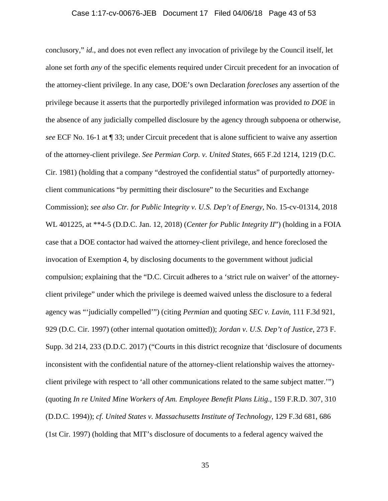# Case 1:17-cv-00676-JEB Document 17 Filed 04/06/18 Page 43 of 53

conclusory," *id*., and does not even reflect any invocation of privilege by the Council itself, let alone set forth *any* of the specific elements required under Circuit precedent for an invocation of the attorney-client privilege. In any case, DOE's own Declaration *forecloses* any assertion of the privilege because it asserts that the purportedly privileged information was provided *to DOE* in the absence of any judicially compelled disclosure by the agency through subpoena or otherwise, *see* ECF No. 16-1 at ¶ 33; under Circuit precedent that is alone sufficient to waive any assertion of the attorney-client privilege. *See Permian Corp. v. United States*, 665 F.2d 1214, 1219 (D.C. Cir. 1981) (holding that a company "destroyed the confidential status" of purportedly attorneyclient communications "by permitting their disclosure" to the Securities and Exchange Commission); *see also Ctr. for Public Integrity v. U.S. Dep't of Energy*, No. 15-cv-01314, 2018 WL 401225, at \*\*4-5 (D.D.C. Jan. 12, 2018) (*Center for Public Integrity II*") (holding in a FOIA case that a DOE contactor had waived the attorney-client privilege, and hence foreclosed the invocation of Exemption 4, by disclosing documents to the government without judicial compulsion; explaining that the "D.C. Circuit adheres to a 'strict rule on waiver' of the attorneyclient privilege" under which the privilege is deemed waived unless the disclosure to a federal agency was "'judicially compelled'") (citing *Permian* and quoting *SEC v. Lavin*, 111 F.3d 921, 929 (D.C. Cir. 1997) (other internal quotation omitted)); *Jordan v. U.S. Dep't of Justice*, 273 F. Supp. 3d 214, 233 (D.D.C. 2017) ("Courts in this district recognize that 'disclosure of documents inconsistent with the confidential nature of the attorney-client relationship waives the attorneyclient privilege with respect to 'all other communications related to the same subject matter.'") (quoting *In re United Mine Workers of Am. Employee Benefit Plans Litig.*, 159 F.R.D. 307, 310 (D.D.C. 1994)); *cf. United States v. Massachusetts Institute of Technology*, 129 F.3d 681, 686 (1st Cir. 1997) (holding that MIT's disclosure of documents to a federal agency waived the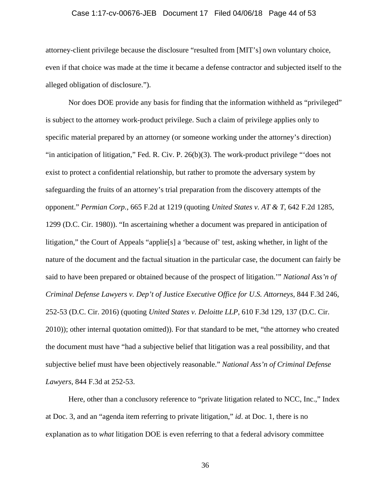# Case 1:17-cv-00676-JEB Document 17 Filed 04/06/18 Page 44 of 53

attorney-client privilege because the disclosure "resulted from [MIT's] own voluntary choice, even if that choice was made at the time it became a defense contractor and subjected itself to the alleged obligation of disclosure.").

Nor does DOE provide any basis for finding that the information withheld as "privileged" is subject to the attorney work-product privilege. Such a claim of privilege applies only to specific material prepared by an attorney (or someone working under the attorney's direction) "in anticipation of litigation," Fed. R. Civ. P. 26(b)(3). The work-product privilege "'does not exist to protect a confidential relationship, but rather to promote the adversary system by safeguarding the fruits of an attorney's trial preparation from the discovery attempts of the opponent." *Permian Corp.*, 665 F.2d at 1219 (quoting *United States v. AT & T*, 642 F.2d 1285, 1299 (D.C. Cir. 1980)). "In ascertaining whether a document was prepared in anticipation of litigation," the Court of Appeals "applie[s] a 'because of' test, asking whether, in light of the nature of the document and the factual situation in the particular case, the document can fairly be said to have been prepared or obtained because of the prospect of litigation.'" *National Ass'n of Criminal Defense Lawyers v. Dep't of Justice Executive Office for U.S. Attorneys*, 844 F.3d 246, 252-53 (D.C. Cir. 2016) (quoting *United States v. Deloitte LLP*, 610 F.3d 129, 137 (D.C. Cir. 2010)); other internal quotation omitted)). For that standard to be met, "the attorney who created the document must have "had a subjective belief that litigation was a real possibility, and that subjective belief must have been objectively reasonable." *National Ass'n of Criminal Defense Lawyers*, 844 F.3d at 252-53.

Here, other than a conclusory reference to "private litigation related to NCC, Inc.," Index at Doc. 3, and an "agenda item referring to private litigation," *id*. at Doc. 1, there is no explanation as to *what* litigation DOE is even referring to that a federal advisory committee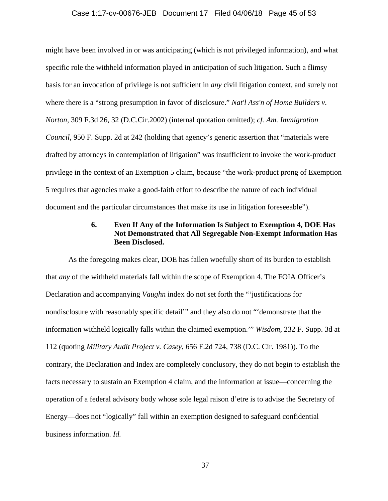### Case 1:17-cv-00676-JEB Document 17 Filed 04/06/18 Page 45 of 53

might have been involved in or was anticipating (which is not privileged information), and what specific role the withheld information played in anticipation of such litigation. Such a flimsy basis for an invocation of privilege is not sufficient in *any* civil litigation context, and surely not where there is a "strong presumption in favor of disclosure." *Nat'l Ass'n of Home Builders v. Norton,* 309 F.3d 26, 32 (D.C.Cir.2002) (internal quotation omitted); *cf. Am. Immigration Council*, 950 F. Supp. 2d at 242 (holding that agency's generic assertion that "materials were drafted by attorneys in contemplation of litigation" was insufficient to invoke the work-product privilege in the context of an Exemption 5 claim, because "the work-product prong of Exemption 5 requires that agencies make a good-faith effort to describe the nature of each individual document and the particular circumstances that make its use in litigation foreseeable").

# **6. Even If Any of the Information Is Subject to Exemption 4, DOE Has Not Demonstrated that All Segregable Non-Exempt Information Has Been Disclosed.**

As the foregoing makes clear, DOE has fallen woefully short of its burden to establish that *any* of the withheld materials fall within the scope of Exemption 4. The FOIA Officer's Declaration and accompanying *Vaughn* index do not set forth the "'justifications for nondisclosure with reasonably specific detail'" and they also do not "'demonstrate that the information withheld logically falls within the claimed exemption.'" *Wisdom*, 232 F. Supp. 3d at 112 (quoting *Military Audit Project v. Casey*, 656 F.2d 724, 738 (D.C. Cir. 1981)). To the contrary, the Declaration and Index are completely conclusory, they do not begin to establish the facts necessary to sustain an Exemption 4 claim, and the information at issue—concerning the operation of a federal advisory body whose sole legal raison d'etre is to advise the Secretary of Energy—does not "logically" fall within an exemption designed to safeguard confidential business information. *Id.*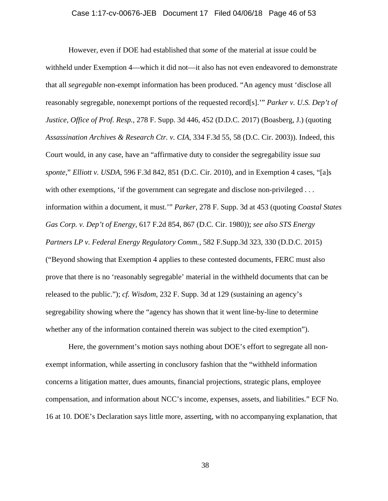### Case 1:17-cv-00676-JEB Document 17 Filed 04/06/18 Page 46 of 53

 However, even if DOE had established that *some* of the material at issue could be withheld under Exemption 4—which it did not—it also has not even endeavored to demonstrate that all *segregable* non-exempt information has been produced. "An agency must 'disclose all reasonably segregable, nonexempt portions of the requested record[s].'" *Parker v. U.S. Dep't of Justice, Office of Prof. Resp.*, 278 F. Supp. 3d 446, 452 (D.D.C. 2017) (Boasberg, J.) (quoting *Assassination Archives & Research Ctr. v. CIA*, 334 F.3d 55, 58 (D.C. Cir. 2003)). Indeed, this Court would, in any case, have an "affirmative duty to consider the segregability issue *sua sponte*," *Elliott v. USDA*, 596 F.3d 842, 851 (D.C. Cir. 2010), and in Exemption 4 cases, "[a]s with other exemptions, 'if the government can segregate and disclose non-privileged ... information within a document, it must.'" *Parker*, 278 F. Supp. 3d at 453 (quoting *Coastal States Gas Corp. v. Dep't of Energy*, 617 F.2d 854, 867 (D.C. Cir. 1980)); *see also STS Energy Partners LP v. Federal Energy Regulatory Comm.,* 582 F.Supp.3d 323, 330 (D.D.C. 2015) ("Beyond showing that Exemption 4 applies to these contested documents, FERC must also prove that there is no 'reasonably segregable' material in the withheld documents that can be released to the public."); *cf. Wisdom*, 232 F. Supp. 3d at 129 (sustaining an agency's segregability showing where the "agency has shown that it went line-by-line to determine whether any of the information contained therein was subject to the cited exemption").

Here, the government's motion says nothing about DOE's effort to segregate all nonexempt information, while asserting in conclusory fashion that the "withheld information concerns a litigation matter, dues amounts, financial projections, strategic plans, employee compensation, and information about NCC's income, expenses, assets, and liabilities." ECF No. 16 at 10. DOE's Declaration says little more, asserting, with no accompanying explanation, that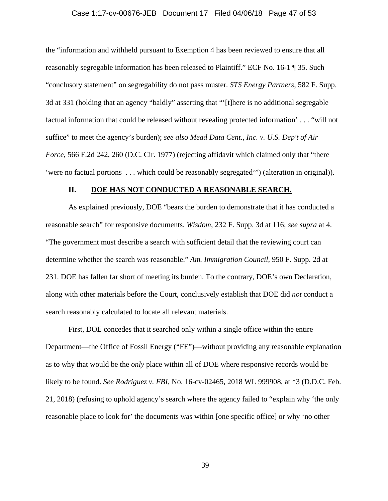#### Case 1:17-cv-00676-JEB Document 17 Filed 04/06/18 Page 47 of 53

the "information and withheld pursuant to Exemption 4 has been reviewed to ensure that all reasonably segregable information has been released to Plaintiff." ECF No. 16-1 ¶ 35. Such "conclusory statement" on segregability do not pass muster. *STS Energy Partners*, 582 F. Supp. 3d at 331 (holding that an agency "baldly" asserting that "'[t]here is no additional segregable factual information that could be released without revealing protected information' . . . "will not suffice" to meet the agency's burden); *see also Mead Data Cent., Inc. v. U.S. Dep't of Air Force,* 566 F.2d 242, 260 (D.C. Cir. 1977) (rejecting affidavit which claimed only that "there 'were no factual portions . . . which could be reasonably segregated'") (alteration in original)).

# **II. DOE HAS NOT CONDUCTED A REASONABLE SEARCH.**

 As explained previously, DOE "bears the burden to demonstrate that it has conducted a reasonable search" for responsive documents. *Wisdom*, 232 F. Supp. 3d at 116; *see supra* at 4. "The government must describe a search with sufficient detail that the reviewing court can determine whether the search was reasonable." *Am. Immigration Council*, 950 F. Supp. 2d at 231. DOE has fallen far short of meeting its burden. To the contrary, DOE's own Declaration, along with other materials before the Court, conclusively establish that DOE did *not* conduct a search reasonably calculated to locate all relevant materials.

 First, DOE concedes that it searched only within a single office within the entire Department—the Office of Fossil Energy ("FE")—without providing any reasonable explanation as to why that would be the *only* place within all of DOE where responsive records would be likely to be found. *See Rodriguez v. FBI*, No. 16-cv-02465, 2018 WL 999908, at \*3 (D.D.C. Feb. 21, 2018) (refusing to uphold agency's search where the agency failed to "explain why 'the only reasonable place to look for' the documents was within [one specific office] or why 'no other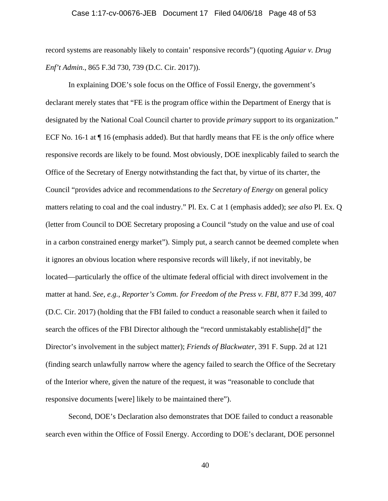### Case 1:17-cv-00676-JEB Document 17 Filed 04/06/18 Page 48 of 53

record systems are reasonably likely to contain' responsive records") (quoting *Aguiar v. Drug Enf't Admin*., 865 F.3d 730, 739 (D.C. Cir. 2017)).

 In explaining DOE's sole focus on the Office of Fossil Energy, the government's declarant merely states that "FE is the program office within the Department of Energy that is designated by the National Coal Council charter to provide *primary* support to its organization." ECF No. 16-1 at ¶ 16 (emphasis added). But that hardly means that FE is the *only* office where responsive records are likely to be found. Most obviously, DOE inexplicably failed to search the Office of the Secretary of Energy notwithstanding the fact that, by virtue of its charter, the Council "provides advice and recommendations *to the Secretary of Energy* on general policy matters relating to coal and the coal industry." Pl. Ex. C at 1 (emphasis added); *see also* Pl. Ex. Q (letter from Council to DOE Secretary proposing a Council "study on the value and use of coal in a carbon constrained energy market"). Simply put, a search cannot be deemed complete when it ignores an obvious location where responsive records will likely, if not inevitably, be located—particularly the office of the ultimate federal official with direct involvement in the matter at hand. *See, e.g.*, *Reporter's Comm. for Freedom of the Press v. FBI*, 877 F.3d 399, 407 (D.C. Cir. 2017) (holding that the FBI failed to conduct a reasonable search when it failed to search the offices of the FBI Director although the "record unmistakably establishe[d]" the Director's involvement in the subject matter); *Friends of Blackwater*, 391 F. Supp. 2d at 121 (finding search unlawfully narrow where the agency failed to search the Office of the Secretary of the Interior where, given the nature of the request, it was "reasonable to conclude that responsive documents [were] likely to be maintained there").

 Second, DOE's Declaration also demonstrates that DOE failed to conduct a reasonable search even within the Office of Fossil Energy. According to DOE's declarant, DOE personnel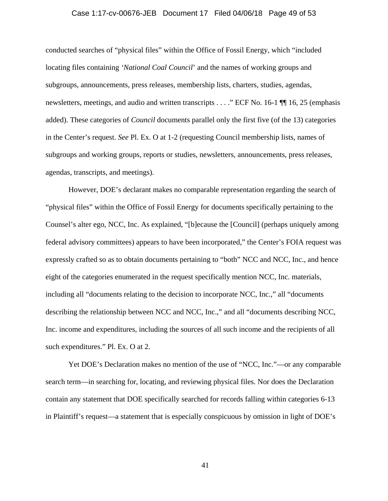# Case 1:17-cv-00676-JEB Document 17 Filed 04/06/18 Page 49 of 53

conducted searches of "physical files" within the Office of Fossil Energy, which "included locating files containing *'National Coal Council*' and the names of working groups and subgroups, announcements, press releases, membership lists, charters, studies, agendas, newsletters, meetings, and audio and written transcripts . . . ." ECF No. 16-1 ¶¶ 16, 25 (emphasis added). These categories of *Council* documents parallel only the first five (of the 13) categories in the Center's request. *See* Pl. Ex. O at 1-2 (requesting Council membership lists, names of subgroups and working groups, reports or studies, newsletters, announcements, press releases, agendas, transcripts, and meetings).

However, DOE's declarant makes no comparable representation regarding the search of "physical files" within the Office of Fossil Energy for documents specifically pertaining to the Counsel's alter ego, NCC, Inc. As explained, "[b]ecause the [Council] (perhaps uniquely among federal advisory committees) appears to have been incorporated," the Center's FOIA request was expressly crafted so as to obtain documents pertaining to "both" NCC and NCC, Inc., and hence eight of the categories enumerated in the request specifically mention NCC, Inc. materials, including all "documents relating to the decision to incorporate NCC, Inc.," all "documents describing the relationship between NCC and NCC, Inc.," and all "documents describing NCC, Inc. income and expenditures, including the sources of all such income and the recipients of all such expenditures." Pl. Ex. O at 2.

Yet DOE's Declaration makes no mention of the use of "NCC, Inc."—or any comparable search term—in searching for, locating, and reviewing physical files. Nor does the Declaration contain any statement that DOE specifically searched for records falling within categories 6-13 in Plaintiff's request—a statement that is especially conspicuous by omission in light of DOE's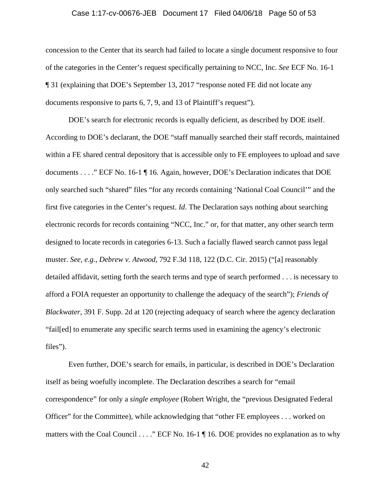# Case 1:17-cv-00676-JEB Document 17 Filed 04/06/18 Page 50 of 53

concession to the Center that its search had failed to locate a single document responsive to four of the categories in the Center's request specifically pertaining to NCC, Inc. *See* ECF No. 16-1 ¶ 31 (explaining that DOE's September 13, 2017 "response noted FE did not locate any documents responsive to parts 6, 7, 9, and 13 of Plaintiff's request").

 DOE's search for electronic records is equally deficient, as described by DOE itself. According to DOE's declarant, the DOE "staff manually searched their staff records, maintained within a FE shared central depository that is accessible only to FE employees to upload and save documents . . . ." ECF No. 16-1 ¶ 16. Again, however, DOE's Declaration indicates that DOE only searched such "shared" files "for any records containing 'National Coal Council'" and the first five categories in the Center's request. *Id*. The Declaration says nothing about searching electronic records for records containing "NCC, Inc." or, for that matter, any other search term designed to locate records in categories 6-13. Such a facially flawed search cannot pass legal muster. *See, e.g., Debrew v. Atwood*, 792 F.3d 118, 122 (D.C. Cir. 2015) ("[a] reasonably detailed affidavit, setting forth the search terms and type of search performed . . . is necessary to afford a FOIA requester an opportunity to challenge the adequacy of the search"); *Friends of Blackwater*, 391 F. Supp. 2d at 120 (rejecting adequacy of search where the agency declaration "fail[ed] to enumerate any specific search terms used in examining the agency's electronic files").

 Even further, DOE's search for emails, in particular, is described in DOE's Declaration itself as being woefully incomplete. The Declaration describes a search for "email correspondence" for only a *single employee* (Robert Wright, the "previous Designated Federal Officer" for the Committee), while acknowledging that "other FE employees . . . worked on matters with the Coal Council . . . ." ECF No. 16-1 ¶ 16. DOE provides no explanation as to why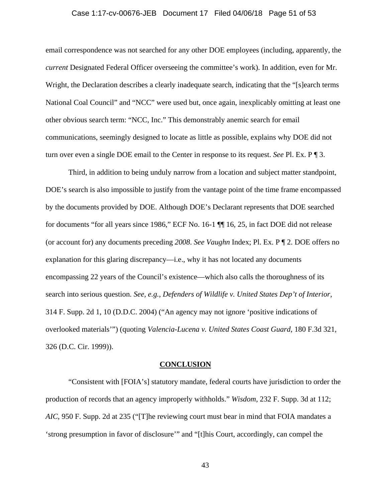# Case 1:17-cv-00676-JEB Document 17 Filed 04/06/18 Page 51 of 53

email correspondence was not searched for any other DOE employees (including, apparently, the *current* Designated Federal Officer overseeing the committee's work). In addition, even for Mr. Wright, the Declaration describes a clearly inadequate search, indicating that the "[s]earch terms National Coal Council" and "NCC" were used but, once again, inexplicably omitting at least one other obvious search term: "NCC, Inc." This demonstrably anemic search for email communications, seemingly designed to locate as little as possible, explains why DOE did not turn over even a single DOE email to the Center in response to its request. *See* Pl. Ex. P ¶ 3.

 Third, in addition to being unduly narrow from a location and subject matter standpoint, DOE's search is also impossible to justify from the vantage point of the time frame encompassed by the documents provided by DOE. Although DOE's Declarant represents that DOE searched for documents "for all years since 1986," ECF No. 16-1 ¶¶ 16, 25, in fact DOE did not release (or account for) any documents preceding *2008*. *See Vaughn* Index; Pl. Ex. P ¶ 2. DOE offers no explanation for this glaring discrepancy—i.e., why it has not located any documents encompassing 22 years of the Council's existence—which also calls the thoroughness of its search into serious question. *See, e.g.*, *Defenders of Wildlife v. United States Dep't of Interior*, 314 F. Supp. 2d 1, 10 (D.D.C. 2004) ("An agency may not ignore 'positive indications of overlooked materials'") (quoting *Valencia-Lucena v. United States Coast Guard*, 180 F.3d 321, 326 (D.C. Cir. 1999)).

#### **CONCLUSION**

 "Consistent with [FOIA's] statutory mandate, federal courts have jurisdiction to order the production of records that an agency improperly withholds." *Wisdom*, 232 F. Supp. 3d at 112; *AIC*, 950 F. Supp. 2d at 235 ("[T]he reviewing court must bear in mind that FOIA mandates a 'strong presumption in favor of disclosure'" and "[t]his Court, accordingly, can compel the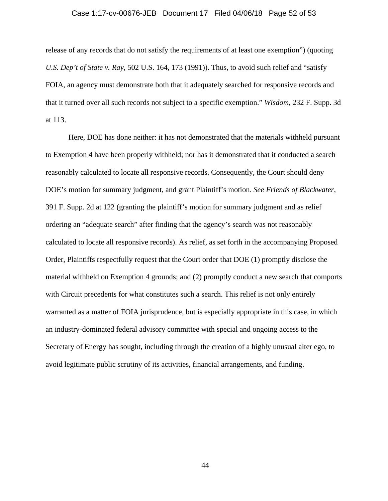### Case 1:17-cv-00676-JEB Document 17 Filed 04/06/18 Page 52 of 53

release of any records that do not satisfy the requirements of at least one exemption") (quoting *U.S. Dep't of State v. Ray*, 502 U.S. 164, 173 (1991)). Thus, to avoid such relief and "satisfy FOIA, an agency must demonstrate both that it adequately searched for responsive records and that it turned over all such records not subject to a specific exemption." *Wisdom*, 232 F. Supp. 3d at 113.

Here, DOE has done neither: it has not demonstrated that the materials withheld pursuant to Exemption 4 have been properly withheld; nor has it demonstrated that it conducted a search reasonably calculated to locate all responsive records. Consequently, the Court should deny DOE's motion for summary judgment, and grant Plaintiff's motion. *See Friends of Blackwater*, 391 F. Supp. 2d at 122 (granting the plaintiff's motion for summary judgment and as relief ordering an "adequate search" after finding that the agency's search was not reasonably calculated to locate all responsive records). As relief, as set forth in the accompanying Proposed Order, Plaintiffs respectfully request that the Court order that DOE (1) promptly disclose the material withheld on Exemption 4 grounds; and (2) promptly conduct a new search that comports with Circuit precedents for what constitutes such a search. This relief is not only entirely warranted as a matter of FOIA jurisprudence, but is especially appropriate in this case, in which an industry-dominated federal advisory committee with special and ongoing access to the Secretary of Energy has sought, including through the creation of a highly unusual alter ego, to avoid legitimate public scrutiny of its activities, financial arrangements, and funding.